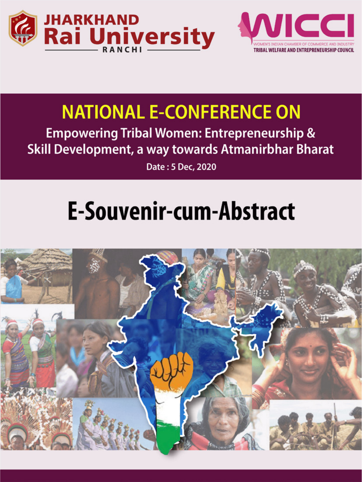



# **NATIONAL E-CONFERENCE ON**

**Empowering Tribal Women: Entrepreneurship &** Skill Development, a way towards Atmanirbhar Bharat

Date: 5 Dec, 2020

# **E-Souvenir-cum-Abstract**

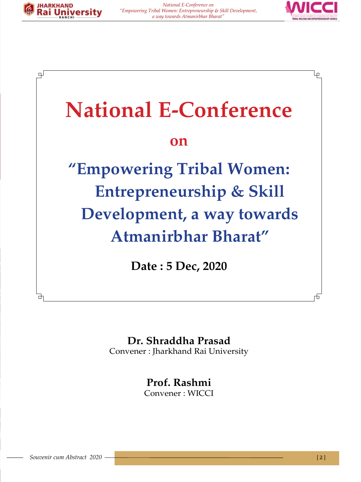





# **Dr. Shraddha Prasad**

Convener : Jharkhand Rai University

**Prof. Rashmi** Convener : WICCI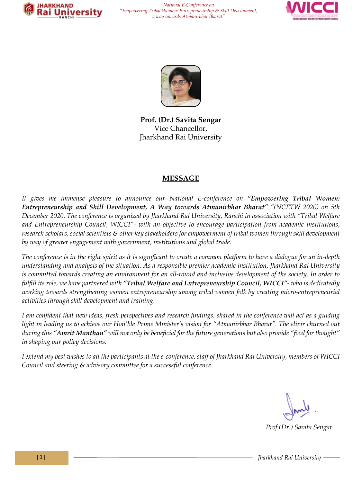





**Prof. (Dr.) Savita Sengar** Vice Chancellor, Jharkhand Rai University

#### **MESSAGE**

*It gives me immense pleasure to announce our National E-conference on "Empowering Tribal Women: Entrepreneurship and Skill Development, A Way towards Atmanirbhar Bharat" "(NCETW 2020) on 5th December 2020. The conference is organized by Jharkhand Rai University, Ranchi in association with "Tribal Welfare and Entrepreneurship Council, WICCI"- with an objective to encourage participation from academic institutions, research scholars, social scientists & other key stakeholders for empowerment of tribal women through skill development by way of greater engagement with government, institutions and global trade.*

*The conference is in the right spirit as it is significant to create a common platform to have a dialogue for an in-depth understanding and analysis of the situation. As a responsible premier academic institution, Jharkhand Rai University is committed towards creating an environment for an all-round and inclusive development of the society. In order to fulfill its role, we have partnered with "Tribal Welfare and Entrepreneurship Council, WICCI"- who is dedicatedly working towards strengthening women entrepreneurship among tribal women folk by creating micro-entrepreneurial activities through skill development and training.*

*I am confident that new ideas, fresh perspectives and research findings, shared in the conference will act as a guiding*  light in leading us to achieve our Hon'ble Prime Minister's vision for "Atmanirbhar Bharat". The elixir churned out *during this "Amrit Manthan" will not only be beneficial for the future generations but also provide "food for thought" in shaping our policy decisions.* 

*I extend my best wishes to all the participants at the e-conference, staff of Jharkhand Rai University, members of WICCI Council and steering & advisory committee for a successful conference.*

 *Prof.(Dr.) Savita Sengar*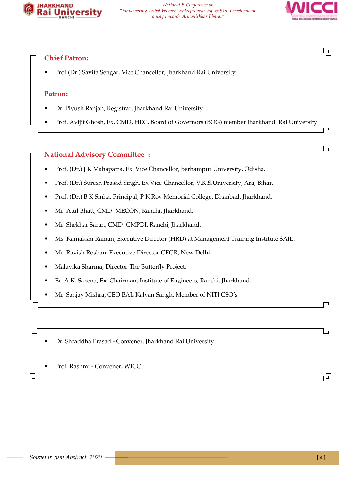



Lр

市

lρ

石

Ļμ

╓┿┑

#### **Chief Patron:**

• Prof.(Dr.) Savita Sengar, Vice Chancellor, Jharkhand Rai University

#### **Patron:**

பு

ᅪ

 $\mathbb{R}$ 

- Dr. Piyush Ranjan, Registrar, Jharkhand Rai University
- Prof. Avijit Ghosh, Ex. CMD, HEC, Board of Governors (BOG) member Jharkhand Rai University

#### **National Advisory Committee :**

- Prof. (Dr.) J K Mahapatra, Ex. Vice Chancellor, Berhampur University, Odisha.
- Prof. (Dr.) Suresh Prasad Singh, Ex Vice-Chancellor, V.K.S.University, Ara, Bihar.
- Prof. (Dr.) B K Sinha, Principal, P K Roy Memorial College, Dhanbad, Jharkhand.
- Mr. Atul Bhatt, CMD- MECON, Ranchi, Jharkhand.
- Mr. Shekhar Saran, CMD- CMPDI, Ranchi, Jharkhand.
- Ms. Kamakshi Raman, Executive Director (HRD) at Management Training Institute SAIL.
- Mr. Ravish Roshan, Executive Director-CEGR, New Delhi.
- Malavika Sharma, Director-The Butterfly Project.
- Er. A.K. Saxena, Ex. Chairman, Institute of Engineers, Ranchi, Jharkhand.
- Mr. Sanjay Mishra, CEO BAL Kalyan Sangh, Member of NITI CSO's

₫

巴

₫

• Dr. Shraddha Prasad - Convener, Jharkhand Rai University

• Prof. Rashmi - Convener, WICCI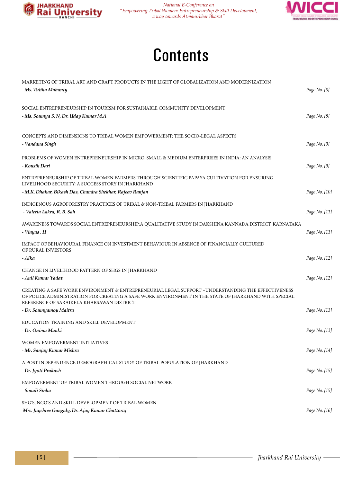



# **Contents**

| MARKETING OF TRIBAL ART AND CRAFT PRODUCTS IN THE LIGHT OF GLOBALIZATION AND MODERNIZATION<br>- Ms. Tulika Mahanty                                                                                                                                     | Page No. [8]  |
|--------------------------------------------------------------------------------------------------------------------------------------------------------------------------------------------------------------------------------------------------------|---------------|
| SOCIAL ENTREPRENEURSHIP IN TOURISM FOR SUSTAINABLE COMMUNITY DEVELOPMENT<br>- Ms. Soumya S. N, Dr. Uday Kumar M.A                                                                                                                                      | Page No. [8]  |
| CONCEPTS AND DIMENSIONS TO TRIBAL WOMEN EMPOWERMENT: THE SOCIO-LEGAL ASPECTS<br>- Vandana Singh                                                                                                                                                        | Page No. [9]  |
| PROBLEMS OF WOMEN ENTREPRENEURSHIP IN MICRO, SMALL & MEDIUM ENTERPRISES IN INDIA: AN ANALYSIS<br>- Kousik Dari                                                                                                                                         | Page No. [9]  |
| ENTREPRENEURSHIP OF TRIBAL WOMEN FARMERS THROUGH SCIENTIFIC PAPAYA CULTIVATION FOR ENSURING<br>LIVELIHOOD SECURITY: A SUCCESS STORY IN JHARKHAND<br>- M.K. Dhakar, Bikash Das, Chandra Shekhar, Rajeev Ranjan                                          | Page No. [10] |
| INDIGENOUS AGROFORESTRY PRACTICES OF TRIBAL & NON-TRIBAL FARMERS IN JHARKHAND<br>- Valeria Lakra, R. B. Sah                                                                                                                                            | Page No. [11] |
| AWARENESS TOWARDS SOCIAL ENTREPRENEURSHIP: A QUALITATIVE STUDY IN DAKSHINA KANNADA DISTRICT, KARNATAKA<br>- Vinyas . H                                                                                                                                 | Page No. [11] |
| IMPACT OF BEHAVIOURAL FINANCE ON INVESTMENT BEHAVIOUR IN ABSENCE OF FINANCIALLY CULTURED<br>OF RURAL INVESTORS<br>- Alka                                                                                                                               | Page No. [12] |
| CHANGE IN LIVELIHOOD PATTERN OF SHGS IN JHARKHAND<br>- Anil Kumar Yadav                                                                                                                                                                                | Page No. [12] |
| CREATING A SAFE WORK ENVIRONMENT & ENTREPRENEURIAL LEGAL SUPPORT –UNDERSTANDING THE EFFECTIVENESS<br>OF POLICE ADMINISTRATION FOR CREATING A SAFE WORK ENVIRONMENT IN THE STATE OF JHARKHAND WITH SPECIAL<br>REFERENCE OF SARAIKELA KHARSAWAN DISTRICT |               |
| - Dr. Soumyamoy Maitra                                                                                                                                                                                                                                 | Page No. [13] |
| EDUCATION TRAINING AND SKILL DEVELOPMENT<br>- Dr. Onima Manki                                                                                                                                                                                          | Page No. [13] |
| WOMEN EMPOWERMENT INITIATIVES<br>- Mr. Sanjay Kumar Mishra                                                                                                                                                                                             | Page No. [14] |
| A POST INDEPENDENCE DEMOGRAPHICAL STUDY OF TRIBAL POPULATION OF JHARKHAND<br>- Dr. Jyoti Prakash                                                                                                                                                       | Page No. [15] |
| EMPOWERMENT OF TRIBAL WOMEN THROUGH SOCIAL NETWORK<br>- Sonali Sinha                                                                                                                                                                                   | Page No. [15] |
| SHG'S, NGO'S AND SKILL DEVELOPMENT OF TRIBAL WOMEN -<br>Mrs. Jayshree Ganguly, Dr. Ajay Kumar Chattoraj                                                                                                                                                | Page No. [16] |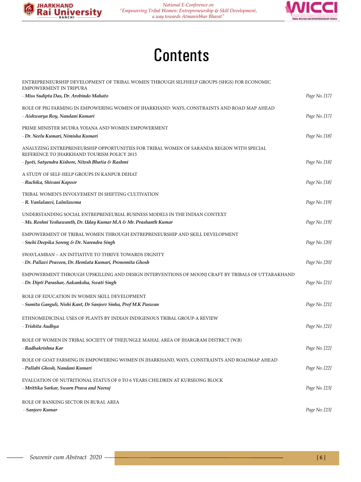



# **Contents**

| ENTREPRENEURSHIP DEVELOPMENT OF TRIBAL WOMEN THROUGH SELFHELP GROUPS (SHGS) FOR ECONOMIC<br>EMPOWERMENT IN TRIPURA                               |               |
|--------------------------------------------------------------------------------------------------------------------------------------------------|---------------|
| - Miss Sudipta Das, Dr. Arobindo Mahato                                                                                                          | Page No. [17] |
| ROLE OF PIG FARMING IN EMPOWERING WOMEN OF JHARKHAND: WAYS, CONSTRAINTS AND ROAD MAP AHEAD<br>- Aishwarya Roy, Nandani Kumari                    | Page No. [17] |
| PRIME MINISTER MUDRA YOJANA AND WOMEN EMPOWERMENT                                                                                                |               |
| - Dr. Neelu Kumari, Nimisha Kumari                                                                                                               | Page No. [18] |
| ANALYZING ENTREPRENEURSHIP OPPORTUNITIES FOR TRIBAL WOMEN OF SARANDA REGION WITH SPECIAL<br>REFERENCE TO JHARKHAND TOURISM POLICY 2015           |               |
| - Jyoti, Satyendra Kishore, Nitesh Bhatia & Rashmi                                                                                               | Page No. [18] |
| A STUDY OF SELF-HELP GROUPS IN KANPUR DEHAT                                                                                                      |               |
| - Ruchika, Shivani Kapoor                                                                                                                        | Page No. [18] |
| TRIBAL WOMEN'S INVOLVEMENT IN SHIFTING CULTIVATION                                                                                               |               |
| - R. Vanlalauvi, Lalnilawma                                                                                                                      | Page No. [19] |
| UNDERSTANDING SOCIAL ENTREPRENEURIAL BUSINESS MODELS IN THE INDIAN CONTEXT<br>- Ms. Roshni Yeshawanth, Dr. Uday Kumar M.A & Mr. Prashanth Kumar  | Page No. [19] |
| EMPOWERMENT OF TRIBAL WOMEN THROUGH ENTREPRENEURSHIP AND SKILL DEVELOPMENT<br>- Snehi Deepika Soreng & Dr. Narendra Singh                        | Page No. [20] |
| SWAVLAMBAN - AN INITIATIVE TO THRIVE TOWARDS DIGNITY                                                                                             |               |
| - Dr. Pallavi Praveen, Dr. Hemlata Kumari, Pronomita Ghosh                                                                                       | Page No. [20] |
| EMPOWERMENT THROUGH UPSKILLING AND DESIGN INTERVENTIONS OF MOONJ CRAFT BY TRIBALS OF UTTARAKHAND<br>- Dr. Dipti Parashar, Aakanksha, Swati Singh | Page No. [21] |
| ROLE OF EDUCATION IN WOMEN SKILL DEVELOPMENT                                                                                                     |               |
| - Sumita Ganguli, Nishi Kant, Dr Sanjeev Sinha, Prof M.K Paswan                                                                                  | Page No. [21] |
|                                                                                                                                                  |               |
| ETHNOMEDICINAL USES OF PLANTS BY INDIAN INDIGENOUS TRIBAL GROUP-A REVIEW<br>- Trishita Audhya                                                    | Page No. [21] |
| ROLE OF WOMEN IN TRIBAL SOCIETY OF THEJUNGLE MAHAL AREA OF JHARGRAM DISTRICT (W.B)<br>- Radhakrishna Kar                                         | Page No. [22] |
| ROLE OF GOAT FARMING IN EMPOWERING WOMEN IN JHARKHAND, WAYS, CONSTRAINTS AND ROADMAP AHEAD                                                       |               |
| - Pallabi Ghosh, Nandani Kumari                                                                                                                  | Page No. [22] |
| EVALUATION OF NUTRITIONAL STATUS OF 0 TO 6 YEARS CHILDREN AT KURSEONG BLOCK                                                                      |               |
| - Mrittika Sarkar, Swarn Prava and Neeraj                                                                                                        | Page No. [23] |
| ROLE OF BANKING SECTOR IN RURAL AREA                                                                                                             |               |
| - Sanjeev Kumar                                                                                                                                  | Page No. [23] |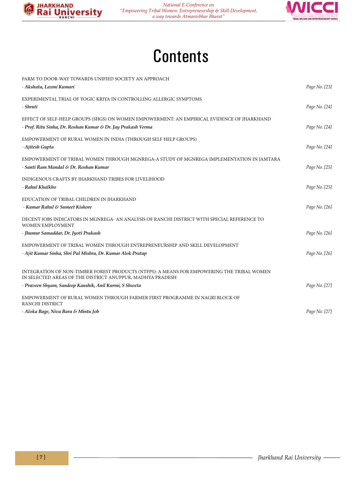



# **Contents**

| FARM TO DOOR-WAY TOWARDS UNIFIED SOCIETY AN APPROACH                                                                                                    |               |
|---------------------------------------------------------------------------------------------------------------------------------------------------------|---------------|
| - Akshata, Laxmi Kumari                                                                                                                                 | Page No. [23] |
| EXPERIMENTAL TRIAL OF YOGIC KRIYA IN CONTROLLING ALLERGIC SYMPTOMS                                                                                      |               |
| - Shruti                                                                                                                                                | Page No. [24] |
| EFFECT OF SELF-HELP GROUPS (SHGS) ON WOMEN EMPOWERMENT: AN EMPIRICAL EVIDENCE OF JHARKHAND                                                              |               |
| - Prof. Ritu Sinha, Dr. Roshan Kumar & Dr. Jay Prakash Verma                                                                                            | Page No. [24] |
| EMPOWERMENT OF RURAL WOMEN IN INDIA (THROUGH SELF HELP GROUPS)                                                                                          |               |
| - Ajitesh Gupta                                                                                                                                         | Page No. [24] |
| EMPOWERMENT OF TRIBAL WOMEN THROUGH MGNREGA-A STUDY OF MGNREGA IMPLEMENTATION IN JAMTARA                                                                |               |
| - Santi Ram Mandal & Dr. Roshan Kumar                                                                                                                   | Page No. [25] |
| INDIGENOUS CRAFTS BY JHARKHAND TRIBES FOR LIVELIHOOD                                                                                                    |               |
| - Rahul Khalkho                                                                                                                                         | Page No. [25] |
| EDUCATION OF TRIBAL CHILDREN IN JHARKHAND                                                                                                               |               |
| - Kumar Rahul & Sumeet Kishore                                                                                                                          | Page No. [26] |
| DECENT JOBS INDICATORS IN MGNREGA- AN ANALYSIS OF RANCHI DISTRICT WITH SPECIAL REFERENCE TO<br>WOMEN EMPLOYMENT                                         |               |
| - Jhumur Samaddar, Dr. Jyoti Prakash                                                                                                                    | Page No. [26] |
| EMPOWERMENT OF TRIBAL WOMEN THROUGH ENTREPRENEURSHIP AND SKILL DEVELOPMENT                                                                              |               |
| - Ajit Kumar Sinha, Shri Pal Mishra, Dr. Kumar Alok Pratap                                                                                              | Page No. [26] |
| INTEGRATION OF NON-TIMBER FOREST PRODUCTS (NTFPS): A MEANS FOR EMPOWERING THE TRIBAL WOMEN<br>IN SELECTED AREAS OF THE DISTRICT ANUPPUR, MADHYA PRADESH |               |
| - Praveen Shyam, Sandeep Kaushik, Anil Kurmi, S Shweta                                                                                                  | Page No. [27] |
| EMPOWERMENT OF RURAL WOMEN THROUGH FARMER FIRST PROGRAMME IN NAGRI BLOCK OF<br>RANCHI DISTRICT                                                          |               |
| - Aloka Bage, Niva Bara & Mintu Job                                                                                                                     | Page No. [27] |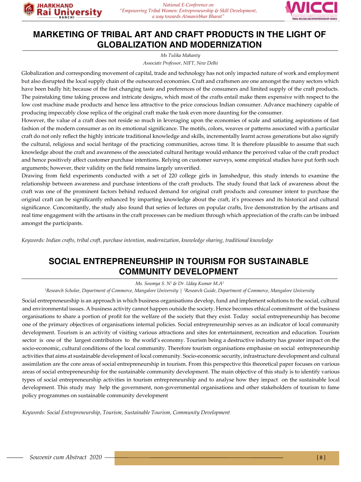

### **MARKETING OF TRIBAL ART AND CRAFT PRODUCTS IN THE LIGHT OF GLOBALIZATION AND MODERNIZATION**

*Associate Professor, NIFT, New Delhi Ms Tulika Mahanty* 

Globalization and corresponding movement of capital, trade and technology has not only impacted nature of work and employment but also disrupted the local supply chain of the outsourced economies. Craft and craftsmen are one amongst the many sectors which have been badly hit; because of the fast changing taste and preferences of the consumers and limited supply of the craft products. The painstaking time taking process and intricate designs, which most of the crafts entail make them expensive with respect to the low cost machine made products and hence less attractive to the price conscious Indian consumer. Advance machinery capable of producing impeccably close replica of the original craft make the task even more daunting for the consumer.

However, the value of a craft does not reside so much in leveraging upon the economies of scale and satiating aspirations of fast fashion of the modern consumer as on its emotional significance. The motifs, colors, weaves or patterns associated with a particular craft do not only reflect the highly intricate traditional knowledge and skills, incrementally learnt across generations but also signify the cultural, religious and social heritage of the practicing communities, across time. It is therefore plausible to assume that such knowledge about the craft and awareness of the associated cultural heritage would enhance the perceived value of the craft product and hence positively affect customer purchase intentions. Relying on customer surveys, some empirical studies have put forth such arguments; however, their validity on the field remains largely unverified.

Drawing from field experiments conducted with a set of 220 college girls in Jamshedpur, this study intends to examine the relationship between awareness and purchase intentions of the craft products. The study found that lack of awareness about the craft was one of the prominent factors behind reduced demand for original craft products and consumer intent to purchase the original craft can be significantly enhanced by imparting knowledge about the craft, it's processes and its historical and cultural significance. Concomitantly, the study also found that series of lectures on popular crafts, live demonstration by the artisans and real time engagement with the artisans in the craft processes can be medium through which appreciation of the crafts can be imbued amongst the participants.

*Keywords: Indian crafts, tribal craft, purchase intention, modernization, knowledge sharing, traditional knowledge*

#### **SOCIAL ENTREPRENEURSHIP IN TOURISM FOR SUSTAINABLE COMMUNITY DEVELOPMENT**

*Ms. Soumya S. N1 & Dr. Uday Kumar M.A2*

<sup>1</sup>Research Scholar, Department of Commerce, Mangalore University | <sup>2</sup>Research Guide, Department of Commerce, Mangalore University

Social entrepreneurship is an approach in which business organisations develop, fund and implement solutions to the social, cultural and environmental issues. A business activity cannot happen outside the society. Hence becomes ethical commitment of the business organisations to share a portion of profit for the welfare of the society that they exist. Today social entrepreneurship has become one of the primary objectives of organisations internal policies. Social entrepreneurship serves as an indicator of local community development. Tourism is an activity of visiting various attractions and sites for entertainment, recreation and education. Tourism sector is one of the largest contributors to the world's economy. Tourism being a destructive industry has greater impact on the socio-economic, cultural conditions of the local community. Therefore tourism organisations emphasise on social entrepreneurship activities that aims at sustainable development of local community. Socio-economic security, infrastructure development and cultural assimilation are the core areas of social entrepreneurship in tourism. From this perspective this theoretical paper focuses on various areas of social entrepreneurship for the sustainable community development. The main objective of this study is to identify various types of social entrepreneurship activities in tourism entrepreneurship and to analyse how they impact on the sustainable local development. This study may help the government, non-governmental organisations and other stakeholders of tourism to fame policy programmes on sustainable community development

*Keywords: Social Entrepreneurship, Tourism, Sustainable Tourism, Community Development*

**JHARKHAND** 

Rai Universit\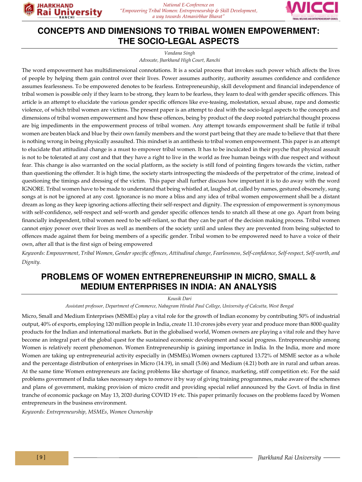

### **CONCEPTS AND DIMENSIONS TO TRIBAL WOMEN EMPOWERMENT: THE SOCIO-LEGAL ASPECTS**

*Vandana Singh*

*Advocate, Jharkhand High Court, Ranchi*

The word empowerment has multidimensional connotations. It is a social process that invokes such power which affects the lives of people by helping them gain control over their lives. Power assumes authority, authority assumes confidence and confidence assumes fearlessness. To be empowered denotes to be fearless. Entrepreneurship, skill development and financial independence of tribal women is possible only if they learn to be strong, they learn to be fearless, they learn to deal with gender specific offences. This article is an attempt to elucidate the various gender specific offences like eve-teasing, molestation, sexual abuse, rape and domestic violence, of which tribal women are victims. The present paper is an attempt to deal with the socio-legal aspects to the concepts and dimensions of tribal women empowerment and how these offences, being by product of the deep rooted patriarchal thought process are big impediments in the empowerment process of tribal women. Any attempt towards empowerment shall be futile if tribal women are beaten black and blue by their own family members and the worst part being that they are made to believe that that there is nothing wrong in being physically assaulted. This mindset is an antithesis to tribal women empowerment. This paper is an attempt to elucidate that attitudinal change is a must to empower tribal women. It has to be inculcated in their psyche that physical assault is not to be tolerated at any cost and that they have a right to live in the world as free human beings with due respect and without fear. This change is also warranted on the social platform, as the society is still fond of pointing fingers towards the victim, rather than questioning the offender. It is high time, the society starts introspecting the misdeeds of the perpetrator of the crime, instead of questioning the timings and dressing of the victim. This paper shall further discuss how important it is to do away with the word IGNORE. Tribal women have to be made to understand that being whistled at, laughed at, called by names, gestured obscenely, sung songs at is not be ignored at any cost. Ignorance is no more a bliss and any idea of tribal women empowerment shall be a distant dream as long as they keep ignoring actions affecting their self-respect and dignity. The expression of empowerment is synonymous with self-confidence, self-respect and self-worth and gender specific offences tends to snatch all these at one go. Apart from being financially independent, tribal women need to be self-reliant, so that they can be part of the decision making process. Tribal women cannot enjoy power over their lives as well as members of the society until and unless they are prevented from being subjected to offences made against them for being members of a specific gender. Tribal women to be empowered need to have a voice of their own, after all that is the first sign of being empowered

*Keywords: Empowerment, Tribal Women, Gender specific offences, Attitudinal change, Fearlessness, Self-confidence, Self-respect, Self-worth, and Dignity.* 

## **PROBLEMS OF WOMEN ENTREPRENEURSHIP IN MICRO, SMALL & MEDIUM ENTERPRISES IN INDIA: AN ANALYSIS**

*Kousik Dari* 

*Assistant professor, Department of Commerce, Nabagram Hiralal Paul College, University of Calcutta, West Bengal*

Micro, Small and Medium Enterprises (MSMEs) play a vital role for the growth of Indian economy by contributing 50% of industrial output, 40% of exports, employing 120 million people in India, create 11.10 crores jobs every year and produce more than 8000 quality products for the Indian and international markets. But in the globalised world, Women owners are playing a vital role and they have become an integral part of the global quest for the sustained economic development and social progress. Entrepreneurship among Women is relatively recent phenomenon. Women Entrepreneurship is gaining importance in India. In the India, more and more Women are taking up entrepreneurial activity especially in (MSMEs).Women owners captured 13.72% of MSME sector as a whole and the percentage distribution of enterprises in Micro (14.19), in small (5.06) and Medium (4.21) both are in rural and urban areas. At the same time Women entrepreneurs are facing problems like shortage of finance, marketing, stiff competition etc. For the said problems government of India takes necessary steps to remove it by way of giving training programmes, make aware of the schemes and plans of government, making provision of micro credit and providing special relief announced by the Govt. of India in first tranche of economic package on May 13, 2020 during COVID 19 etc. This paper primarily focuses on the problems faced by Women entrepreneurs in the business environment.

*Keywords: Entrepreneurship, MSMEs, Women Ownership*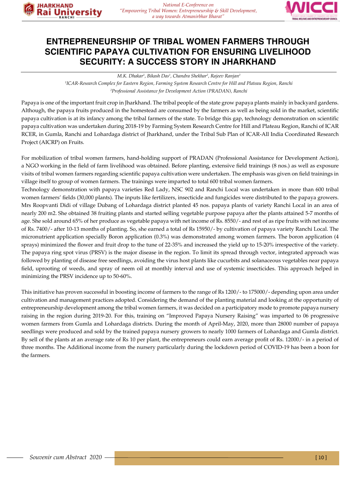



#### **ENTREPRENEURSHIP OF TRIBAL WOMEN FARMERS THROUGH SCIENTIFIC PAPAYA CULTIVATION FOR ENSURING LIVELIHOOD SECURITY: A SUCCESS STORY IN JHARKHAND**

*M.K. Dhakar1 , Bikash Das1 , Chandra Shekhar2 , Rajeev Ranjan2*

*1 ICAR-Research Complex for Eastern Region, Farming System Research Centre for Hill and Plateau Region, Ranchi 2 Professional Assistance for Development Action (PRADAN), Ranchi*

Papaya is one of the important fruit crop in Jharkhand. The tribal people of the state grow papaya plants mainly in backyard gardens. Although, the papaya fruits produced in the homestead are consumed by the farmers as well as being sold in the market, scientific papaya cultivation is at its infancy among the tribal farmers of the state. To bridge this gap, technology demonstration on scientific papaya cultivation was undertaken during 2018-19 by Farming System Research Centre for Hill and Plateau Region, Ranchi of ICAR RCER, in Gumla, Ranchi and Lohardaga district of Jharkhand, under the Tribal Sub Plan of ICAR-All India Coordinated Research Project (AICRP) on Fruits.

For mobilization of tribal women farmers, hand-holding support of PRADAN (Professional Assistance for Development Action), a NGO working in the field of farm livelihood was obtained. Before planting, extensive field trainings (8 nos.) as well as exposure visits of tribal women farmers regarding scientific papaya cultivation were undertaken. The emphasis was given on field trainings in village itself to group of women farmers. The trainings were imparted to total 600 tribal women farmers.

Technology demonstration with papaya varieties Red Lady, NSC 902 and Ranchi Local was undertaken in more than 600 tribal women farmers' fields (30,000 plants). The inputs like fertilizers, insecticide and fungicides were distributed to the papaya growers. Mrs Roopvanti Didi of village Dubang of Lohardaga district planted 45 nos. papaya plants of variety Ranchi Local in an area of nearly 200 m2. She obtained 38 fruiting plants and started selling vegetable purpose papaya after the plants attained 5-7 months of age. She sold around 65% of her produce as vegetable papaya with net income of Rs. 8550/- and rest of as ripe fruits with net income of Rs. 7400/- after 10-13 months of planting. So, she earned a total of Rs 15950/- by cultivation of papaya variety Ranchi Local. The micronutrient application specially Boron application (0.3%) was demonstrated among women farmers. The boron application (4 sprays) minimized the flower and fruit drop to the tune of 22-35% and increased the yield up to 15-20% irrespective of the variety. The papaya ring spot virus (PRSV) is the major disease in the region. To limit its spread through vector, integrated approach was followed by planting of disease free seedlings, avoiding the virus host plants like cucurbits and solanaceous vegetables near papaya field, uprooting of weeds, and spray of neem oil at monthly interval and use of systemic insecticides. This approach helped in minimizing the PRSV incidence up to 50-60%.

This initiative has proven successful in boosting income of farmers to the range of Rs 1200/- to 175000/- depending upon area under cultivation and management practices adopted. Considering the demand of the planting material and looking at the opportunity of entrepreneurship development among the tribal women farmers, it was decided on a participatory mode to promote papaya nursery raising in the region during 2019-20. For this, training on "Improved Papaya Nursery Raising" was imparted to 06 progressive women farmers from Gumla and Lohardaga districts. During the month of April-May, 2020, more than 28000 number of papaya seedlings were produced and sold by the trained papaya nursery growers to nearly 1000 farmers of Lohardaga and Gumla district. By sell of the plants at an average rate of Rs 10 per plant, the entrepreneurs could earn average profit of Rs. 12000/- in a period of three months. The Additional income from the nursery particularly during the lockdown period of COVID-19 has been a boon for the farmers.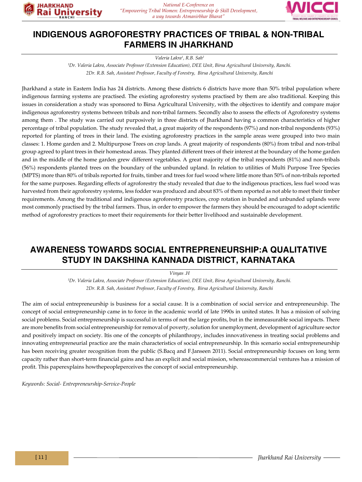

*National E-Conference on "Empowering Tribal Women: Entrepreneurship & Skill Development, a way towards Atmanirbhar Bharat"*



#### **INDIGENOUS AGROFORESTRY PRACTICES OF TRIBAL & NON-TRIBAL FARMERS IN JHARKHAND**

*Valeria Lakra1 , R.B. Sah2*

<sup>1</sup>Dr. Valeria Lakra, Associate Professor (Extension Education), DEE Unit, Birsa Agricultural University, Ranchi. *2Dr. R.B. Sah, Assistant Professor, Faculty of Forestry, Birsa Agricultural University, Ranchi*

Jharkhand a state in Eastern India has 24 districts. Among these districts 6 districts have more than 50% tribal population where indigenous farming systems are practised. The existing agroforestry systems practised by them are also traditional. Keeping this issues in consideration a study was sponsored to Birsa Agricultural University, with the objectives to identify and compare major indigenous agroforestry systems between tribals and non-tribal farmers. Secondly also to assess the effects of Agroforestry systems among them . The study was carried out purposively in three districts of Jharkhand having a common characteristics of higher percentage of tribal population. The study revealed that, a great majority of the respondents (97%) and non-tribal respondents (93%) reported for planting of trees in their land. The existing agroforestry practices in the sample areas were grouped into two main classes: 1. Home garden and 2. Multipurpose Trees on crop lands. A great majority of respondents (80%) from tribal and non-tribal group agreed to plant trees in their homestead areas. They planted different trees of their interest at the boundary of the home garden and in the middle of the home garden grew different vegetables. A great majority of the tribal respondents (81%) and non-tribals (56%) respondents planted trees on the boundary of the unbunded upland. In relation to utilities of Multi Purpose Tree Species (MPTS) more than 80% of tribals reported for fruits, timber and trees for fuel wood where little more than 50% of non-tribals reported for the same purposes. Regarding effects of agroforestry the study revealed that due to the indigenous practices, less fuel wood was harvested from their agroforestry systems, less fodder was produced and about 83% of them reported as not able to meet their timber requirements. Among the traditional and indigenous agroforestry practices, crop rotation in bunded and unbunded uplands were most commonly practised by the tribal farmers. Thus, in order to empower the farmers they should be encouraged to adopt scientific method of agroforestry practices to meet their requirements for their better livelihood and sustainable development.

#### **AWARENESS TOWARDS SOCIAL ENTREPRENEURSHIP:A QUALITATIVE STUDY IN DAKSHINA KANNADA DISTRICT, KARNATAKA**

*Vinyas .H*

*1 Dr. Valeria Lakra, Associate Professor (Extension Education), DEE Unit, Birsa Agricultural University, Ranchi. 2Dr. R.B. Sah, Assistant Professor, Faculty of Forestry, Birsa Agricultural University, Ranchi*

The aim of social entrepreneurship is business for a social cause. It is a combination of social service and entrepreneurship. The concept of social entrepreneurship came in to force in the academic world of late 1990s in united states. It has a mission of solving social problems. Social entrepreneurship is successful in terms of not the large profits, but in the immeasurable social impacts. There are more benefits from social entrepreneurship for removal of poverty, solution for unemployment, development of agriculture sector and positively impact on society. Itis one of the concepts of philanthropy, includes innovativeness in treating social problems and innovating entrepreneurial practice are the main characteristics of social entrepreneurship. In this scenario social entrepreneurship has been receiving greater recognition from the public (S.Bacq and F.Janseen 2011). Social entrepreneurship focuses on long term capacity rather than short-term financial gains and has an explicit and social mission, whereascommercial ventures has a mission of profit. This paperexplains howthepeopleperceives the concept of social entrepreneurship.

*Keywords: Social- Entrepreneurship-Service-People*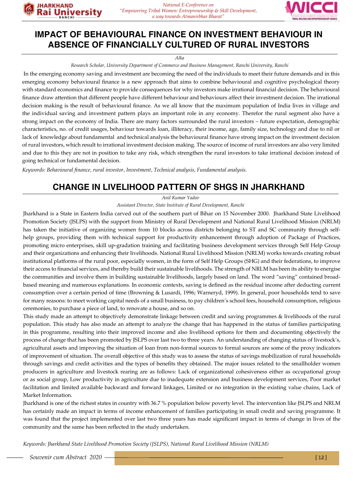

# **IMPACT OF BEHAVIOURAL FINANCE ON INVESTMENT BEHAVIOUR IN ABSENCE OF FINANCIALLY CULTURED OF RURAL INVESTORS**

*National E-Conference on* 

*a way towards Atmanirbhar Bharat"*

*Alka*

*Research Scholar, University Department of Commerce and Business Management, Ranchi University, Ranchi*

 In the emerging economy saving and investment are becoming the need of the individuals to meet their future demands and in this emerging economy behavioural finance is a new approach that aims to combine behavioural and cognitive psychological theory with standard economics and finance to provide consequences for why investors make irrational financial decision. The behavioural finance draw attention that different people have different behaviour and behaviours affect their investment decision. The irrational decision making is the result of behavioural finance. As we all know that the maximum population of India lives in village and the individual saving and investment pattern plays an important role in any economy. Therefor the rural segment also have a strong impact on the economy of India. There are many factors surrounded the rural investors – future expectation, demographic characteristics, no. of credit usages, behaviour towards loan, illiteracy, their income, age, family size, technology and due to nil or lack of knowledge about fundamental and technical analysis the behavioural finance have strong impact on the investment decision of rural investors, which result to irrational investment decision making. The source of income of rural investors are also very limited and due to this they are not in position to take any risk, which strengthen the rural investors to take irrational decision instead of going technical or fundamental decision.

*Keywords: Behavioural finance, rural investor, Investment, Technical analysis, Fundamental analysis.*

#### **CHANGE IN LIVELIHOOD PATTERN OF SHGS IN JHARKHAND**

*Anil Kumar Yadav*

*Assistant Director, State Institute of Rural Development, Ranchi*

Jharkhand is a State in Eastern India carved out of the southern part of Bihar on 15 November 2000. Jharkhand State Livelihood Promotion Society (JSLPS) with the support from Ministry of Rural Development and National Rural Livelihood Mission (NRLM) has taken the initiative of organizing women from 10 blocks across districts belonging to ST and SC community through selfhelp groups, providing them with technical support for productivity enhancement through adoption of Package of Practices, promoting micro enterprises, skill up-gradation training and facilitating business development services through Self Help Group and their organizations and enhancing their livelihoods. National Rural Livelihood Mission (NRLM) works towards creating robust institutional platforms of the rural poor, especially women, in the form of Self Help Groups (SHG) and their federations, to improve their access to financial services, and thereby build their sustainable livelihoods. The strength of NRLM has been its ability to energise the communities and involve them in building sustainable livelihoods, largely based on land. The word "saving" contained broadbased meaning and numerous explanations. In economic contexts, saving is defined as the residual income after deducting current consumption over a certain period of time (Browning & Lusardi, 1996; Warneryd, 1999). In general, poor households tend to save for many reasons: to meet working capital needs of a small business, to pay children's school fees, household consumption, religious ceremonies, to purchase a piece of land, to renovate a house, and so on.

This study made an attempt to objectively demonstrate linkage between credit and saving programmes & livelihoods of the rural population. This study has also made an attempt to analyze the change that has happened in the status of families participating in this programme, resulting into their improved income and also livelihood options for them and documenting objectively the process of change that has been promoted by JSLPS over last two to three years. An understanding of changing status of livestock's, agricultural assets and improving the situation of loan from non-formal sources to formal sources are some of the proxy indicators of improvement of situation. The overall objective of this study was to assess the status of savings mobilization of rural households through savings and credit activities and the types of benefits they obtained. The major issues related to the smallholder women producers in agriculture and livestock rearing are as follows: Lack of organizational cohesiveness either as occupational group or as social group, Low productivity in agriculture due to inadequate extension and business development services, Poor market facilitation and limited available backward and forward linkages, Limited or no integration in the existing value chains, Lack of Market Information.

Jharkhand is one of the richest states in country with 36.7 % population below poverty level. The intervention like JSLPS and NRLM has certainly made an impact in terms of income enhancement of families participating in small credit and saving programme. It was found that the project implemented over last two three years has made significant impact in terms of change in lives of the community and the same has been reflected in the study undertaken.

*Keywords: Jharkhand State Livelihood Promotion Society (JSLPS), National Rural Livelihood Mission (NRLM)*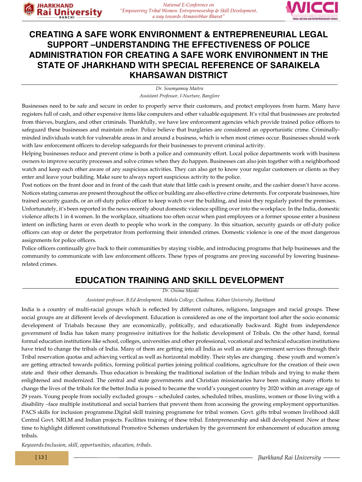

#### **CREATING A SAFE WORK ENVIRONMENT & ENTREPRENEURIAL LEGAL SUPPORT –UNDERSTANDING THE EFFECTIVENESS OF POLICE ADMINISTRATION FOR CREATING A SAFE WORK ENVIRONMENT IN THE STATE OF JHARKHAND WITH SPECIAL REFERENCE OF SARAIKELA KHARSAWAN DISTRICT**

*Dr. Soumyamoy Maitra Assistant Professor, I-Nurture, Banglore*

Businesses need to be safe and secure in order to properly serve their customers, and protect employees from harm. Many have registers full of cash, and other expensive items like computers and other valuable equipment. It's vital that businesses are protected from thieves, burglars, and other criminals. Thankfully, we have law enforcement agencies which provide trained police officers to safeguard these businesses and maintain order. Police believe that burglaries are considered an opportunistic crime. Criminallyminded individuals watch for vulnerable areas in and around a business, which is when most crimes occur. Businesses should work with law enforcement officers to develop safeguards for their businesses to prevent criminal activity.

Helping businesses reduce and prevent crime is both a police and community effort. Local police departments work with business owners to improve security processes and solve crimes when they do happen. Businesses can also join together with a neighborhood watch and keep each other aware of any suspicious activities. They can also get to know your regular customers or clients as they enter and leave your building. Make sure to always report suspicious activity to the police.

Post notices on the front door and in front of the cash that state that little cash is present onsite, and the cashier doesn't have access. Notices stating cameras are present throughout the office or building are also effective crime deterrents. For corporate businesses, hire trained security guards, or an off-duty police officer to keep watch over the building, and insist they regularly patrol the premises.

Unfortunately, it's been reported in the news recently about domestic violence spilling over into the workplace. In the India, domestic violence affects 1 in 4 women. In the workplace, situations too often occur when past employees or a former spouse enter a business intent on inflicting harm or even death to people who work in the company. In this situation, security guards or off-duty police officers can stop or deter the perpetrator from performing their intended crimes. Domestic violence is one of the most dangerous assignments for police officers.

Police officers continually give back to their communities by staying visible, and introducing programs that help businesses and the community to communicate with law enforcement officers. These types of programs are proving successful by lowering businessrelated crimes.

#### **EDUCATION TRAINING AND SKILL DEVELOPMENT**

*Dr. Onima Manki*

*Assistant professor, B.Ed development, Mahila College, Chaibasa, Kolhan University, Jharkhand*

India is a country of multi-racial groups which is reflected by different cultures, religions, languages and racial groups. These social groups are at different levels of development. Education is considered as one of the important tool after the socio economic development of Triabals because they are economically, politically, and educationally backward. Right from independence government of India has taken many progressive initiatives for the holistic development of Tribals. On the other hand, formal formal education institutions like school, colleges, universities and other professional, vocational and technical education institutions have tried to change the tribals of India. Many of them are getting into all India as well as state government services through their Tribal reservation quotas and achieving vertical as well as horizontal mobility. Their styles are changing . these youth and women's are getting attracted towards politics, forming political parties joining political coalitions, agriculture for the creation of their own state and their other demands. Thus education is breaking the traditional isolation of the Indian tribals and trying to make them enlightened and modernized. The central and state governments and Christian missionaries have been making many efforts to change the lives of the tribals for the better.India is poised to became the world's youngest country by 2020 within an average age of 29 years. Young people from socially excluded groups – scheduled castes, scheduled tribes, muslims, women or those living with a disability –face multiple institutional and social barriers that prevent them from accessing the growing employment opportunities. PACS skills for inclusion programme.Digital skill training programme for tribal women. Govt. gifts tribal women livelihood skill Central Govt. NRLM and Indian projects. Facilities training of these tribal. Enterpreneurship and skill development .Now at these time to highlight different constitutional Promotive Schemes undertaken by the government for enhancement of education among tribals.

*Keywords:Inclusion, skill, opportunities, education, tribals.*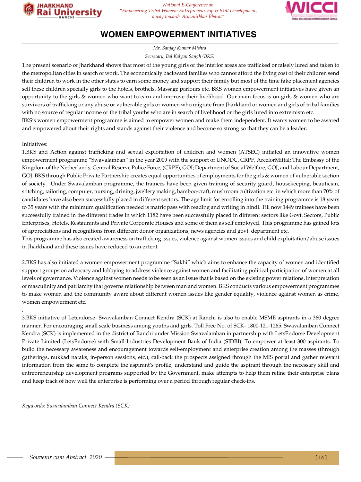

#### **WOMEN EMPOWERMENT INITIATIVES**

*Mr. Sanjay Kumar Mishra*

*Secretary, Bal Kalyan Sangh (BKS)*

The present scenario of Jharkhand shows that most of the young girls of the interior areas are trafficked or falsely lured and taken to the metropolitan cities in search of work. The economically backward families who cannot afford the living cost of their children send their children to work in the other states to earn some money and support their family but most of the time fake placement agencies sell these children specially girls to the hotels, brothels, Massage parlours etc. BKS women empowerment initiatives have given an opportunity to the girls & women who want to earn and improve their livelihood. Our main focus is on girls & women who are survivors of trafficking or any abuse or vulnerable girls or women who migrate from Jharkhand or women and girls of tribal families with no source of regular income or the tribal youths who are in search of livelihood or the girls lured into extremism etc. BKS's women empowerment programme is aimed to empower women and make them independent. It wants women to be awared

and empowered about their rights and stands against their violence and become so strong so that they can be a leader.

#### Initiatives:

.

1.BKS and Action against trafficking and sexual exploitation of children and women (ATSEC) initiated an innovative women empowerment programme "Swavalamban" in the year 2009 with the support of UNODC, CRPF, ArcelorMittal; The Embassy of the Kingdom of the Netherlands; Central Reserve Police Force, (CRPF), GOI; Department of Social Welfare, GOJ, and Labour Department, GOJ. BKS through Public Private Partnership creates equal opportunities of employments for the girls & women of vulnerable section of society. Under Swavalamban programme, the trainees have been given training of security guard, housekeeping, beautician, stitching, tailoring, computer, nursing, driving, jwellery making, bamboo-craft, mushroom cultivation etc. in which more than 70% of candidates have also been successfully placed in different sectors. The age limit for enrolling into the training programme is 18 years to 35 years with the minimum qualification needed is matric pass with reading and writing in hindi. Till now 1449 trainees have been successfully trained in the different trades in which 1182 have been successfully placed in different sectors like Govt. Sectors, Public Enterprises, Hotels, Restaurants and Private Corporate Houses and some of them as self employed. This programme has gained lots of appreciations and recognitions from different donor organizations, news agencies and govt. department etc.

This programme has also created awareness on trafficking issues, violence against women issues and child exploitation/abuse issues in Jharkhand and these issues have reduced to an extent.

2.BKS has also initiated a women empowerment programme "Sakhi" which aims to enhance the capacity of women and identified support groups on advocacy and lobbying to address violence against women and facilitating political participation of women at all levels of governance. Violence against women needs to be seen as an issue that is based on the existing power relations, interpretation of masculinity and patriarchy that governs relationship between man and women. BKS conducts various empowerment programmes to make women and the community aware about different women issues like gender equality, violence against women as crime, women empowerment etc.

3.BKS initiative of Letendorse- Swavalamban Connect Kendra (SCK) at Ranchi is also to enable MSME aspirants in a 360 degree manner. For encouraging small scale business among youths and girls. Toll Free No. of SCK- 1800-121-1265. Swavalamban Connect Kendra (SCK) is implemented in the district of Ranchi under Mission Swavalamban in partnership with LetsEndorse Development Private Limited (LetsEndorse) with Small Industries Development Bank of India (SIDBI). To empower at least 300 aspirants. To build the necessary awareness and encouragement towards self-employment and enterprise creation among the masses (through gatherings, nukkad nataks, in-person sessions, etc.), call-back the prospects assigned through the MIS portal and gather relevant information from the same to complete the aspirant's profile, understand and guide the aspirant through the necessary skill and entrepreneurship development programs supported by the Government, make attempts to help them refine their enterprise plans and keep track of how well the enterprise is performing over a period through regular check-ins.

*Keywords: Swavalamban Connect Kendra (SCK)*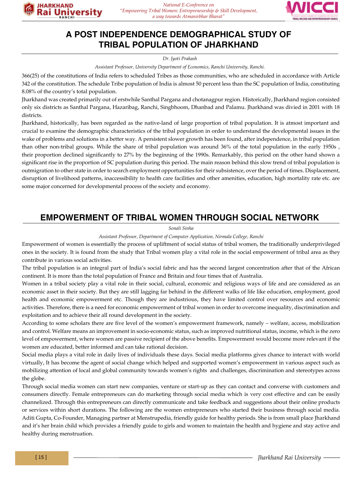

## **A POST INDEPENDENCE DEMOGRAPHICAL STUDY OF TRIBAL POPULATION OF JHARKHAND**

*Dr. Jyoti Prakash*

*Assistant Professor, University Department of Economics, Ranchi University, Ranchi.*

366(25) of the constitutions of India refers to scheduled Tribes as those communities, who are scheduled in accordance with Article 342 of the constitution. The schedule Tribe population of India is almost 50 percent less than the SC population of India, constituting 8.08% of the country's total population.

Jharkhand was created primarily out of erstwhile Santhal Pargana and chotanagpur region. Historically, Jharkhand region consisted only six districts as Santhal Pargana, Hazaribag, Ranchi, Singbhoom, Dhanbad and Palamu. Jharkhand was divied in 2001 with 18 districts.

Jharkhand, historically, has been regarded as the native-land of large proportion of tribal population. It is atmost important and crucial to examine the demographic characteristics of the tribal population in order to understand the developmental issues in the wake of problems and solutions in a better way. A persistent slower growth has been found, after independence, in tribal population than other non-tribal groups. While the share of tribal population was around 36% of the total population in the early 1950s , their proportion declined significantly to 27% by the beginning of the 1990s. Remarkably, this period on the other hand shown a significant rise in the proportion of SC population during this period. The main reason behind this slow trend of tribal population is outmigration to other state in order to search employment opportunities for their subsistence, over the period of times. Displacement, disruption of livelihood patterns, inaccessibility to health care facilities and other amenities, education, high mortality rate etc. are some major concerned for developmental process of the society and economy.

#### **EMPOWERMENT OF TRIBAL WOMEN THROUGH SOCIAL NETWORK**

*Sonali Sinha*

*Assistant Professor, Department of Computer Application, Nirmala College, Ranchi*

Empowerment of women is essentially the process of upliftment of social status of tribal women, the traditionally underprivileged ones in the society. It is found from the study that Tribal women play a vital role in the social empowerment of tribal area as they contribute in various social activities.

The tribal population is an integral part of India's social fabric and has the second largest concentration after that of the African continent. It is more than the total population of France and Britain and four times that of Australia.

Women in a tribal society play a vital role in their social, cultural, economic and religious ways of life and are considered as an economic asset in their society. But they are still lagging far behind in the different walks of life like education, employment, good health and economic empowerment etc. Though they are industrious, they have limited control over resources and economic activities. Therefore, there is a need for economic empowerment of tribal women in order to overcome inequality, discrimination and exploitation and to achieve their all round development in the society.

According to some scholars there are five level of the women's empowerment framework, namely – welfare, access, mobilization and control. Welfare means an improvement in socio-economic status, such as improved nutritional status, income, which is the zero level of empowerment, where women are passive recipient of the above benefits. Empowerment would become more relevant if the women are educated, better informed and can take rational decision.

Social media plays a vital role in daily lives of individuals these days. Social media platforms gives chance to interact with world virtually, It has become the agent of social change which helped and supported women's empowerment in various aspect such as mobilizing attention of local and global community towards women's rights and challenges, discrimination and stereotypes across the globe.

Through social media women can start new companies, venture or start-up as they can contact and converse with customers and consumers directly. Female entrepreneurs can do marketing through social media which is very cost effective and can be easily channelized. Through this entrepreneurs can directly communicate and take feedback and suggestions about their online products or services within short durations. The following are the women entrepreneurs who started their business through social media. Aditi Gupta, Co-Founder, Managing partner at Menstrupedia, friendly guide for healthy periods. She is from small place Jharkhand and it's her brain child which provides a friendly guide to girls and women to maintain the health and hygiene and stay active and healthy during menstruation.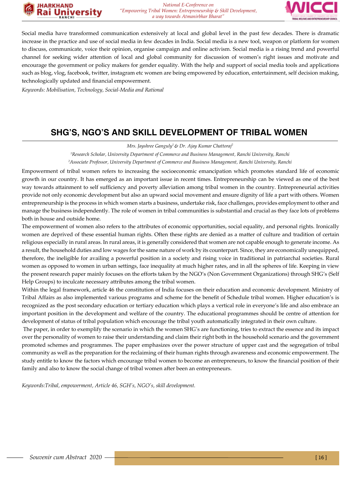



Social media have transformed communication extensively at local and global level in the past few decades. There is dramatic increase in the practice and use of social media in few decades in India. Social media is a new tool, weapon or platform for women to discuss, communicate, voice their opinion, organise campaign and online activism. Social media is a rising trend and powerful channel for seeking wider attention of local and global community for discussion of women's right issues and motivate and encourage the government or policy makers for gender equality. With the help and support of social media tools and applications such as blog, vlog, facebook, twitter, instagram etc women are being empowered by education, entertainment, self decision making, technologically updated and financial empowerment.

*Keywords: Mobilisation, Technology, Social-Media and Rational*

#### **SHG'S, NGO'S AND SKILL DEVELOPMENT OF TRIBAL WOMEN**

*Mrs. Jayshree Ganguly1 & Dr. Ajay Kumar Chattoraj2*

*1 Research Scholar, University Department of Commerce and Business Management, Ranchi University, Ranchi*

*2 Associate Professor, University Department of Commerce and Business Management, Ranchi University, Ranchi*

Empowerment of tribal women refers to increasing the socioeconomic emancipation which promotes standard life of economic growth in our country. It has emerged as an important issue in recent times. Entrepreneurship can be viewed as one of the best way towards attainment to self sufficiency and poverty alleviation among tribal women in the country. Entrepreneurial activities provide not only economic development but also an upward social movement and ensure dignity of life a part with others. Women entrepreneurship is the process in which women starts a business, undertake risk, face challenges, provides employment to other and manage the business independently. The role of women in tribal communities is substantial and crucial as they face lots of problems both in house and outside home.

The empowerment of women also refers to the attributes of economic opportunities, social equality, and personal rights. Ironically women are deprived of these essential human rights. Often these rights are denied as a matter of culture and tradition of certain religious especially in rural areas. In rural areas, it is generally considered that women are not capable enough to generate income. As a result, the household duties and low wages for the same nature of work by its counterpart. Since, they are economically unequipped, therefore, the ineligible for availing a powerful position in a society and rising voice in traditional in patriarchal societies. Rural women as opposed to women in urban settings, face inequality at much higher rates, and in all the spheres of life. Keeping in view the present research paper mainly focuses on the efforts taken by the NGO's (Non Government Organizations) through SHG's (Self Help Groups) to inculcate necessary attributes among the tribal women.

Within the legal framework, article 46 the constitution of India focuses on their education and economic development. Ministry of Tribal Affairs as also implemented various programs and scheme for the benefit of Schedule tribal women. Higher education's is recognized as the post secondary education or tertiary education which plays a vertical role in everyone's life and also embrace an important position in the development and welfare of the country. The educational programmes should be centre of attention for development of status of tribal population which encourage the tribal youth automatically integrated in their own culture.

 The paper, in order to exemplify the scenario in which the women SHG's are functioning, tries to extract the essence and its impact over the personality of women to raise their understanding and claim their right both in the household scenario and the government promoted schemes and programmes. The paper emphasizes over the power structure of upper cast and the segregation of tribal community as well as the preparation for the reclaiming of their human rights through awareness and economic empowerment. The study entitle to know the factors which encourage tribal women to become an entrepreneurs, to know the financial position of their family and also to know the social change of tribal women after been an entrepreneurs.

*Keywords:Tribal, empowerment, Article 46, SGH's, NGO's, skill development.*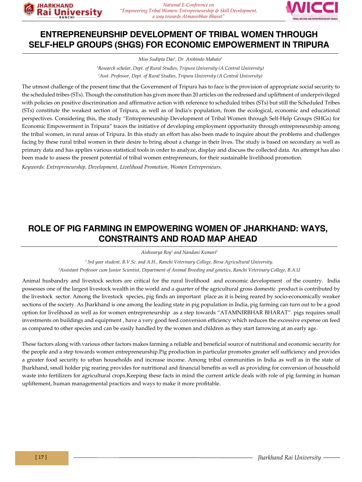



#### **ENTREPRENEURSHIP DEVELOPMENT OF TRIBAL WOMEN THROUGH SELF-HELP GROUPS (SHGS) FOR ECONOMIC EMPOWERMENT IN TRIPURA**

*Miss Sudipta Das1 , Dr. Arobindo Mahato2*

*1 Research scholar, Dept. of Rural Studies, Tripura University (A Central University) 2 Asst. Professor, Dept. of Rural Studies, Tripura University (A Central University)*

The utmost challenge of the present time that the Government of Tripura has to face is the provision of appropriate social security to the scheduled tribes (STs). Though the constitution has given more than 20 articles on the redressed and upliftment of underprivileged with policies on positive discrimination and affirmative action with reference to scheduled tribes (STs) but still the Scheduled Tribes (STs) constitute the weakest section of Tripura, as well as of India's population, from the ecological, economic and educational perspectives. Considering this, the study "Entrepreneurship Development of Tribal Women through Self-Help Groups (SHGs) for Economic Empowerment in Tripura" traces the initiative of developing employment opportunity through entrepreneurship among the tribal women, in rural areas of Tripura. In this study an effort has also been made to inquire about the problems and challenges facing by these rural tribal women in their desire to bring about a change in their lives. The study is based on secondary as well as primary data and has applies various statistical tools in order to analyze, display and discuss the collected data. An attempt has also been made to assess the present potential of tribal women entrepreneurs, for their sustainable livelihood promotion.

*Keywords: Entrepreneurship, Development, Livelihood Promotion, Women Entrepreneurs.*

#### **ROLE OF PIG FARMING IN EMPOWERING WOMEN OF JHARKHAND: WAYS, CONSTRAINTS AND ROAD MAP AHEAD**

*Aishwarya Roy1 and Nandani Kumari2*

*1 3rd year student, B.V.Sc. and A.H., Ranchi Veterinary College, Birsa Agricultural University. 2 Assistant Professor cum Junior Scientist, Department of Animal Breeding and genetics, Ranchi Veterinary College, B.A.U*

Animal husbandry and livestock sectors are critical for the rural livelihood and economic development of the country. India possesses one of the largest livestock wealth in the world and a quarter of the agricultural gross domestic product is contributed by the livestock sector. Among the livestock species, pig finds an important place as it is being reared by socio-economically weaker sections of the society. As Jharkhand is one among the leading state in pig population in India, pig farming can turn out to be a good option for livelihood as well as for women entrepreneurship as a step towards "ATAMNIRBHAR BHARAT". pigs requires small investments on buildings and equipment , have a very good feed conversion efficiency which reduces the excessive expense on feed as compared to other species and can be easily handled by the women and children as they start farrowing at an early age.

These factors along with various other factors makes farming a reliable and beneficial source of nutritional and economic security for the people and a step towards women entrepreneurship.Pig production in particular promotes greater self sufficiency and provides a greater food security to urban households and increase income. Among tribal communities in India as well as in the state of Jharkhand, small holder pig rearing provides for nutritional and financial benefits as well as providing for conversion of household waste into fertilizers for agricultural crops.Keeping these facts in mind the current article deals with role of pig farming in human upliftement, human managemental practices and ways to make it more profitable.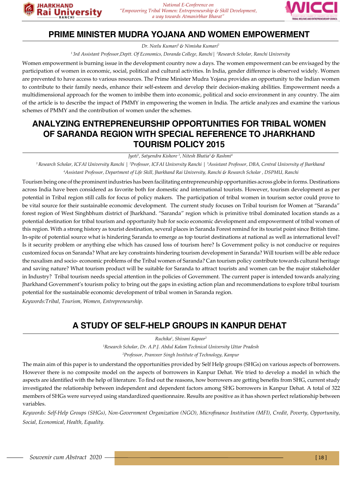

#### **PRIME MINISTER MUDRA YOJANA AND WOMEN EMPOWERMENT**

*Dr. Neelu Kumari1 & Nimisha Kumari2*

*1 3rd Assistant Professor,Deptt. Of Economics, Doranda College, Ranchi| 2 Research Scholar, Ranchi University*

Women empowerment is burning issue in the development country now a days. The women empowerment can be envisaged by the participation of women in economic, social, political and cultural activities. In India, gender difference is observed widely. Women are prevented to have access to various resources. The Prime Minister Mudra Yojana provides an opportunity to the Indian women to contribute to their family needs, enhance their self-esteem and develop their decision-making abilities. Empowerment needs a multidimensional approach for the women to imbibe them into economic, political and socio environment in any country. The aim of the article is to describe the impact of PMMY in empowering the women in India. The article analyzes and examine the various schemes of PMMY and the contribution of women under the schemes.

#### **ANALYZING ENTREPRENEURSHIP OPPORTUNITIES FOR TRIBAL WOMEN OF SARANDA REGION WITH SPECIAL REFERENCE TO JHARKHAND TOURISM POLICY 2015**

*Jyoti1 , Satyendra Kishore 2 , Nitesh Bhatia3 & Rashmi4*

*1 Research Scholar, ICFAI University Ranchi | 2 Professor, ICFAI University Ranchi | 3 Assistant Professor, DBA, Central University of Jharkhand 4 Assistant Professor, Department of Life Skill, Jharkhand Rai University, Ranchi & Research Scholar , DSPMU, Ranchi*

Tourism being one of the prominent industries has been facilitating entrepreneurship opportunities across globe in forms. Destinations across India have been considered as favorite both for domestic and international tourists. However, tourism development as per potential in Tribal region still calls for focus of policy makers. The participation of tribal women in tourism sector could prove to be vital source for their sustainable economic development. The current study focuses on Tribal tourism for Women at "Saranda" forest region of West Singhbhum district of Jharkhand. "Saranda" region which is primitive tribal dominated location stands as a potential destination for tribal tourism and opportunity hub for socio economic development and empowerment of tribal women of this region. With a strong history as tourist destination, several places in Saranda Forest remind for its tourist point since British time. In-spite of potential source what is hindering Saranda to emerge as top tourist destinations at national as well as international level? Is it security problem or anything else which has caused loss of tourism here? Is Government policy is not conducive or requires customized focus on Saranda? What are key constraints hindering tourism development in Saranda? Will tourism will be able reduce the naxalism and socio- economic problems of the Tribal women of Saranda? Can tourism policy contribute towards cultural heritage and saving nature? What tourism product will be suitable for Saranda to attract tourists and women can be the major stakeholder in Industry? Tribal tourism needs special attention in the policies of Government. The current paper is intended towards analyzing Jharkhand Government's tourism policy to bring out the gaps in existing action plan and recommendations to explore tribal tourism potential for the sustainable economic development of tribal women in Saranda region.

*Keywords:Tribal, Tourism, Women, Entrepreneurship.*

## **A STUDY OF SELF-HELP GROUPS IN KANPUR DEHAT**

*Ruchika1 , Shivani Kapoor2*

*1 Research Scholar, Dr. A.P.J. Abdul Kalam Technical University Uttar Pradesh 2 Professor, Pranveer Singh Institute of Technology, Kanpur*

The main aim of this paper is to understand the opportunities provided by Self Help groups (SHGs) on various aspects of borrowers. However there is no composite model on the aspects of borrowers in Kanpur Dehat. We tried to develop a model in which the aspects are identified with the help of literature. To find out the reasons, how borrowers are getting benefits from SHG, current study investigated the relationship between independent and dependent factors among SHG borrowers in Kanpur Dehat. A total of 322 members of SHGs were surveyed using standardized questionnaire. Results are positive as it has shown perfect relationship between variables.

*Keywords: Self-Help Groups (SHGs), Non-Government Organization (NGO), Microfinance Institution (MFI), Credit, Poverty, Opportunity, Social, Economical, Health, Equality.*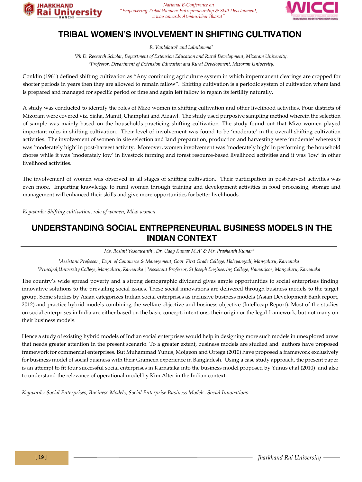

#### **TRIBAL WOMEN'S INVOLVEMENT IN SHIFTING CULTIVATION**

*R. Vanlalauvi1 and Lalnilawma2* 

*1 Ph.D. Research Scholar, Department of Extension Education and Rural Development, Mizoram University.*

*2 Professor, Department of Extension Education and Rural Development, Mizoram University.*

Conklin (1961) defined shifting cultivation as "Any continuing agriculture system in which impermanent clearings are cropped for shorter periods in years then they are allowed to remain fallow". Shifting cultivation is a periodic system of cultivation where land is prepared and managed for specific period of time and again left fallow to regain its fertility naturally.

A study was conducted to identify the roles of Mizo women in shifting cultivation and other livelihood activities. Four districts of Mizoram were covered viz. Siaha, Mamit, Champhai and Aizawl. The study used purposive sampling method wherein the selection of sample was mainly based on the households practicing shifting cultivation. The study found out that Mizo women played important roles in shifting cultivation. Their level of involvement was found to be 'moderate' in the overall shifting cultivation activities. The involvement of women in site selection and land preparation, production and harvesting were 'moderate' whereas it was 'moderately high' in post-harvest activity. Moreover, women involvement was 'moderately high' in performing the household chores while it was 'moderately low' in livestock farming and forest resource-based livelihood activities and it was 'low' in other livelihood activities.

The involvement of women was observed in all stages of shifting cultivation. Their participation in post-harvest activities was even more. Imparting knowledge to rural women through training and development activities in food processing, storage and management will enhanced their skills and give more opportunities for better livelihoods.

*Keywords: Shifting cultivation, role of women, Mizo women.*

#### **UNDERSTANDING SOCIAL ENTREPRENEURIAL BUSINESS MODELS IN THE INDIAN CONTEXT**

*Ms. Roshni Yeshawanth1 , Dr. Uday Kumar M.A2 & Mr. Prashanth Kumar3*

*1 Assistant Professor , Dept. of Commerce & Management, Govt. First Grade College, Haleyangadi, Mangaluru, Karnataka 2 Principal,University College, Mangaluru, Karnataka |3 Assistant Professor, St Joseph Engineering College, Vamanjoor, Mangaluru, Karnataka*

The country's wide spread poverty and a strong demographic dividend gives ample opportunities to social enterprises finding innovative solutions to the prevailing social issues. These social innovations are delivered through business models to the target group. Some studies by Asian categorizes Indian social enterprises as inclusive business models (Asian Development Bank report, 2012) and practice hybrid models combining the welfare objective and business objective (Intellecap Report). Most of the studies on social enterprises in India are either based on the basic concept, intentions, their origin or the legal framework, but not many on their business models.

Hence a study of existing hybrid models of Indian social enterprises would help in designing more such models in unexplored areas that needs greater attention in the present scenario. To a greater extent, business models are studied and authors have proposed framework for commercial enterprises. But Muhammad Yunus, Moigeon and Ortega (2010) have proposed a framework exclusively for business model of social business with their Grameen experience in Bangladesh. Using a case study approach, the present paper is an attempt to fit four successful social enterprises in Karnataka into the business model proposed by Yunus et.al (2010) and also to understand the relevance of operational model by Kim Alter in the Indian context.

*Keywords: Social Enterprises, Business Models, Social Enterprise Business Models, Social Innovations.*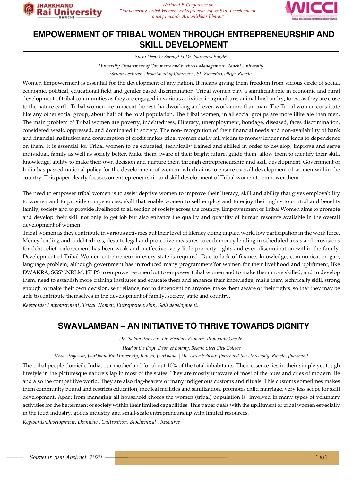

#### **EMPOWERMENT OF TRIBAL WOMEN THROUGH ENTREPRENEURSHIP AND SKILL DEVELOPMENT**

*Snehi Deepika Soreng1 & Dr. Narendra Singh2*

*1 University Department of Commerce and business Management, Ranchi University.*

*2 Senior Lecturer, Department of Commerce, St. Xavier's College, Ranchi*

Women Empowerment is essential for the development of any nation. It means giving them freedom from vicious circle of social, economic, political, educational field and gender based discrimination. Tribal women play a significant role in economic and rural development of tribal communities as they are engaged in various activities in agriculture, animal husbandry, forest as they are close to the nature earth. Tribal women are innocent, honest, hardworking and even work more than man. The Tribal women constitute like any other social group, about half of the total population. The tribal women, in all social groups are more illiterate than men. The main problem of Tribal women are poverty, indebtedness, illiteracy, unemployment, bondage, diseased, faces discrimination, considered weak, oppressed, and dominated in society. The non- recognition of their financial needs and non-availability of bank and financial institution and consumption of credit makes tribal women easily fall victim to money lender and leads to dependence on them. It is essential for Tribal women to be educated, technically trained and skilled in order to develop, improve and serve individual, family as well as society better. Make them aware of their bright future, guide them, allow them to identify their skill, knowledge, ability to make their own decision and nurture them through entrepreneurship and skill development. Government of India has passed national policy for the development of women, which aims to ensure overall development of women within the country. This paper clearly focuses on entrepreneurship and skill development of Tribal women to empower them.

The need to empower tribal women is to assist deprive women to improve their literacy, skill and ability that gives employability to women and to provide competencies, skill that enable women to self employ and to enjoy their rights to control and benefits family, society and to provide livelihood to all section of society across the country. Empowerment of Tribal Women aims to promote and develop their skill not only to get job but also enhance the quality and quantity of human resource available in the overall development of women.

Tribal women as they contribute in various activities but their level of literacy doing unpaid work, low participation in the work force. Money lending and indebtedness, despite legal and protective measures to curb money lending in scheduled areas and provisions for debt relief, enforcement has been weak and ineffective, very little property rights and even discrimination within the family. Development of Tribal Women entrepreneur in every state is required. Due to lack of finance, knowledge, communication-gap, language problem, although government has introduced many programmers'for women for their livelihood and upliftment, like DWAKRA, SGSY,NRLM, JSLPS to empower women but to empower tribal women and to make them more skilled, and to develop them, need to establish more training institutes and educate them and enhance their knowledge, make them technically skill, strong enough to make their own decision, self reliance, not to dependent on anyone, make them aware of their rights, so that they may be able to contribute themselves in the development of family, society, state and country.

*Keywords: Empowerment, Tribal Women, Entrepreneurship, Skill development.*

#### **SWAVLAMBAN – AN INITIATIVE TO THRIVE TOWARDS DIGNITY**

*Dr. Pallavi Praveen1 , Dr. Hemlata Kumari2 , Pronomita Ghosh3* 

*1 Head of the Dept, Dept. of Botany, Bokaro Steel City College*

<sup>2</sup>Asst. Professor, Jharkhand Rai University, Ranchi, Jharkhand | <sup>3</sup>Research Scholar, Jharkhand Rai University, Ranchi, Jharkhand

The tribal people domicile India, our motherland for about 10% of the total inhabitants. Their essence lies in their simple yet tough lifestyle in the picturesque nature's lap in most of the states. They are mostly unaware of most of the hues and cries of modern life and also the competitive world. They are also flag-bearers of many indigenous customs and rituals. This customs sometimes makes them community bound and restricts education, medical facilities and sanitization, promotes child marriage, very less scope for skill development. Apart from managing all household chores the women (tribal) population is involved in many types of voluntary activities for the betterment of society within their limited capabilities. This paper deals with the upliftment of tribal women especially in the food industry, goods industry and small-scale entrepreneurship with limited resources.

*Keywords:Development, Domicile , Cultivation, Biochemical , Resource*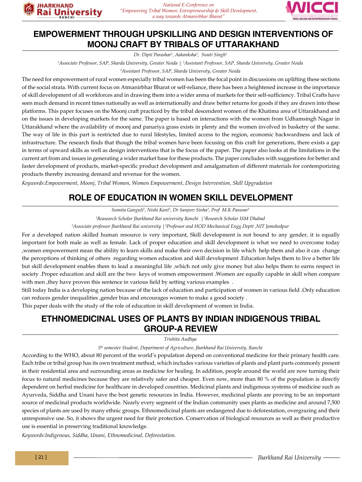

#### **EMPOWERMENT THROUGH UPSKILLING AND DESIGN INTERVENTIONS OF MOONJ CRAFT BY TRIBALS OF UTTARAKHAND**

*Dr. Dipti Parashar1 , Aakanksha2 , Swati Singh3*

*1 Associate Professor, SAP, Sharda University, Greater Noida | 2 Assistant Professor, SAP, Sharda University, Greater Noida*

*3 Assistant Professor, SAP, Sharda University, Greater Noida*

The need for empowerment of rural women especially tribal women has been the focal point in discussions on uplifting these sections of the social strata. With current focus on Atmanirbhar Bharat or self-reliance, there has been a heightened increase in the importance of skill development of all workforces and in drawing them into a wider arena of markets for their self-sufficiency. Tribal Crafts have seen much demand in recent times nationally as well as internationally and draw better returns for goods if they are drawn into these platforms. This paper focuses on the Moonj craft practiced by the tribal descendent women of the Khatima area of Uttarakhand and on the issues in developing markets for the same. The paper is based on interactions with the women from Udhamsingh Nagar in Uttarakhand where the availability of moonj and panariya grass exists in plenty and the women involved in basketry of the same. The way of life in this part is restricted due to rural lifestyles, limited access to the region, economic backwardness and lack of infrastructure. The research finds that though the tribal women have been focusing on this craft for generations, there exists a gap in terms of upward skills as well as design interventions that is the focus of the paper. The paper also looks at the limitations in the current art from and issues in generating a wider market base for these products. The paper concludes with suggestions for better and faster development of products, market-specific product development and amalgamation of different materials for contemporizing products thereby increasing demand and revenue for the women.

*Keywords:Empowerment, Moonj, Tribal Women, Women Empowerment, Design Intervention, Skill Upgradation*

## **ROLE OF EDUCATION IN WOMEN SKILL DEVELOPMENT**

*Sumita Ganguli1 , Nishi Kant2 , Dr Sanjeev Sinha3 , Prof M.K Paswan4*

*1 Reasearch Scholar Jharkhand Rai university Ranchi |2 Research Scholar ISM Dhabad*

*3 Associate professor Jharkhand Rai university |4 Professor and HOD Mechanical Engg.Deptt ,NIT Jamshedpur*

For a developed nation skilled human resource is very important, Skill development is not bound to any gender, it is equally important for both male as well as female. Lack of proper education and skill development is what we need to overcome today ,women empowerment mean the ability to learn skills and make their own decision in life which help them and also it can change the perceptions of thinking of others regarding women education and skill development .Education helps them to live a better life but skill development enables them to lead a meaningful life ,which not only give money but also helps them to earns respect in society .Proper education and skill are the two keys of women empowerment .Women are equally capable in skill when compare with men ,they have proven this sentence in various field by setting various examples .

Still today India is a developing nation because of the lack of education and participation of women in various field .Only education can reduces gender inequalities ,gender bias and encourages women to make a good society .

This paper deals with the study of the role of education in skill development of women in India.

#### **ETHNOMEDICINAL USES OF PLANTS BY INDIAN INDIGENOUS TRIBAL GROUP-A REVIEW**

*Trishita Audhya*

#### *5th semester Student, Department of Agriculture, Jharkhand Rai University, Ranchi*

According to the WHO, about 80 percent of the world's population depend on conventional medicine for their primary health care. Each tribe or tribal group has its own treatment method, which includes various varieties of plants and plant parts commonly present in their residential area and surrounding areas as medicine for healing. In addition, people around the world are now turning their focus to natural medicines because they are relatively safer and cheaper. Even now, more than 80 % of the population is directly dependent on herbal medicine for healthcare in developed countries. Medicinal plants and indigenous systems of medicine such as Ayurveda, Siddha and Unani have the best genetic resources in India. However, medicinal plants are proving to be an important source of medicinal products worldwide. Nearly every segment of the Indian community uses plants as medicine and around 7,500 species of plants are used by many ethnic groups. Ethnomedicinal plants are endangered due to deforestation, overgrazing and their unresponsive use. So, it shows the urgent need for their protection. Conservation of biological resources as well as their productive use is essential in preserving traditional knowledge.

*Keywords:Indigenous, Siddha, Unani, Ethnomedicinal, Deforestation.*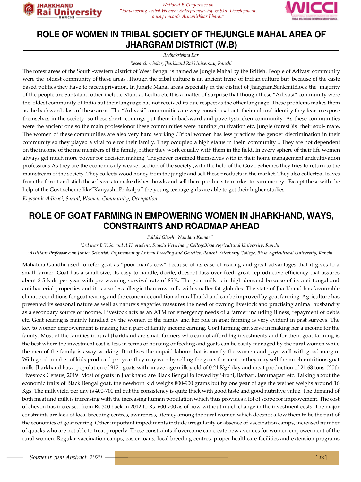



#### **ROLE OF WOMEN IN TRIBAL SOCIETY OF THEJUNGLE MAHAL AREA OF JHARGRAM DISTRICT (W.B)**

*Radhakrishna Kar*

*Research scholar, Jharkhand Rai University, Ranchi*

The forest areas of the South -western district of West Bengal is named as Jungle Mahal by the British. People of Adivasi community were the oldest community of these areas .Though the tribal culture is an ancient trend of Indian culture but because of the caste based politics they have to facedeprivation. In Jungle Mahal areas especially in the district of Jhargram,SankrailBlock the majority of the people are Santaland other include Munda, Lodha etc.It is a matter of surprise that though these "Adivasi" community were the oldest community of India but their language has not received its due respect as the other language .These problems makes them as the backward class of these areas. The "Adivasi" communities are very consciousabout their cultural identity they fear to expose themselves in the society so these short -comings put them in backward and povertystricken community .As these communities were the ancient one so the main professionof these communities were hunting ,cultivation etc. Jungle (forest ) is their soul- mate. The women of these communities are also very hard working .Tribal women has less practices the gender discrimination in their community so they played a vital role for their family. They occupied a high status in their community .. They are not dependent on the income of the me members of the family, rather they work equally with them in the field. In every sphere of their life women always get much more power for decision making. Theynever confined themselves with in their home management andcultivation professions.As they are the economically weaker section of the society ,with the help of the Govt..Schemes they tries to return to the mainstream of the society .They collects wood honey from the jungle and sell these products in the market. They also collectSal leaves from the forest and stich these leaves to make dishes ,bowls and sell there products to market to earn money.. Except these with the help of the Govt.scheme like"KanyashriPrakalpa" the young teenage girls are able to get their higher studies *Keywords:Adivasi, Santal, Women, Community, Occupation .*

**ROLE OF GOAT FARMING IN EMPOWERING WOMEN IN JHARKHAND, WAYS, CONSTRAINTS AND ROADMAP AHEAD**

*Pallabi Ghosh1 , Nandani Kumari2*

*1 3rd year B.V.Sc. and A.H. student, Ranchi Veterinary CollegeBirsa Agricultural University, Ranchi*

*2 Assistant Professor cum Junior Scientist, Department of Animal Breeding and Genetics, Ranchi Veterinary College, Birsa Agricultural University, Ranchi*

Mahatma Gandhi used to refer goat as "poor man's cow" because of its ease of rearing and great advantages that it gives to a small farmer. Goat has a small size, its easy to handle, docile, doesnot fuss over feed, great reproductive efficiency that assures about 3-5 kids per year with pre-weaning survival rate of 85%. The goat milk is in high demand because of its anti fungal and anti bacterial properties and it is also less allergic than cow milk with smaller fat globules. The state of Jharkhand has favourable climatic conditions for goat rearing and the economic condition of rural Jharkhand can be improved by goat farming. Agriculture has presented its seasonal nature as well as nature's vagaries reassures the need of owning livestock and practising animal husbandry as a secondary source of income. Livestock acts as an ATM for emergency needs of a farmer including illness, repayment of debts etc. Goat rearing is mainly handled by the women of the family and her role in goat farming is very evident in past surveys. The key to women empowerment is making her a part of family income earning. Goat farming can serve in making her a income for the family. Most of the families in rural Jharkhand are small farmers who cannot afford big investments and for them goat farming is the best where the investment cost is less in terms of housing or feeding and goats can be easily managed by the rural women while the men of the family is away working. It utilises the unpaid labour that is mostly the women and pays well with good margin. With good number of kids produced per year they may earn by selling the goats for meat or they may sell the much nutritious goat milk. Jharkhand has a population of 9121 goats with an average milk yield of 0.21 Kg/ day and meat production of 21.68 tons. [20th Livestock Census, 2019] Most of goats in Jharkhand are Black Bengal followed by Sirohi, Barbari, Jamunapari etc. Talking about the economic traits of Black Bengal goat, the newborn kid weighs 800-900 grams but by one year of age the wether weighs around 16 Kgs. The milk yield per day is 400-700 ml but the consistency is quite thick with good taste and good nutritive value. The demand of both meat and milk is increasing with the increasing human population which thus provides a lot of scope for improvement. The cost of chevon has increased from Rs.300 back in 2012 to Rs. 600-700 as of now without much change in the investment costs. The major constraints are lack of local breeding centres, awareness, literacy among the rural women which doesnot allow them to be the part of the economics of goat rearing. Other important impediments include irregularity or absence of vaccination camps, increased number of quacks who are not able to treat properly. These constraints if overcome can create new avenues for women empowerment of the rural women. Regular vaccination camps, easier loans, local breeding centres, proper healthcare facilities and extension programs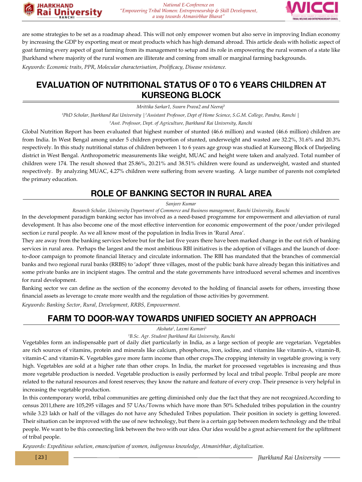



are some strategies to be set as a roadmap ahead. This will not only empower women but also serve in improving Indian economy by increasing the GDP by exporting meat or meat products which has high demand abroad. This article deals with holistic aspect of goat farming every aspect of goat farming from its management to setup and its role in empowering the rural women of a state like Jharkhand where majority of the rural women are illiterate and coming from small or marginal farming backgrounds.

*Keywords: Economic traits, PPR, Molecular characterisation, Prolificacy, Disease resistance.*

**JHARKHAND** 

#### **EVALUATION OF NUTRITIONAL STATUS OF 0 TO 6 YEARS CHILDREN AT KURSEONG BLOCK**

*Mrittika Sarkar1, Swarn Prava2 and Neeraj3*

*1 PhD Scholar, Jharkhand Rai University |2 Assistant Professor, Dept of Home Science, S.G.M. College, Pandra, Ranchi | 3 Asst. Professor, Dept. of Agriculture, Jharkhand Rai University, Ranchi*

Global Nutrition Report has been evaluated that highest number of stunted (46.6 million) and wasted (46.6 million) children are from India. In West Bengal among under 5 children proportion of stunted, underweight and wasted are 32.2%, 31.6% and 20.3% respectively. In this study nutritional status of children between 1 to 6 years age group was studied at Kurseong Block of Darjeeling district in West Bengal. Anthropometric measurements like weight, MUAC and height were taken and analyzed. Total number of children were 174. The result showed that 25.86%, 20.21% and 38.51% children were found as underweight, wasted and stunted respectively. By analyzing MUAC, 4.27% children were suffering from severe wasting. A large number of parents not completed the primary education.

#### **ROLE OF BANKING SECTOR IN RURAL AREA**

*Sanjeev Kumar*

*Research Scholar, University Department of Commerce and Business management, Ranchi University, Ranchi*

In the development paradigm banking sector has involved as a need-based programme for empowerment and alleviation of rural development. It has also become one of the most effective intervention for economic empowerment of the poor/under privileged section i.e rural people. As we all know most of the population in India lives in 'Rural Area'.

They are away from the banking services before but for the last five years there have been marked change in the out rich of banking services in rural area. Perhaps the largest and the most ambitious RBI initiatives is the adoption of villages and the launch of doorto-door campaign to promote financial literacy and circulate information. The RBI has mandated that the branches of commercial banks and two regional rural banks (RRBS) to 'adopt' three villages, most of the public bank have already began this initiatives and some private banks are in incipient stages. The central and the state governments have introduced several schemes and incentives for rural development.

Banking sector we can define as the section of the economy devoted to the holding of financial assets for others, investing those financial assets as leverage to create more wealth and the regulation of those activities by government.

*Keywords: Banking Sector, Rural, Development, RRBS, Empowerment.*

#### **FARM TO DOOR-WAY TOWARDS UNIFIED SOCIETY AN APPROACH**

*Akshata1 , Laxmi Kumari1*

#### *1 B.Sc. Agr. Student Jharkhand Rai University, Ranchi*

Vegetables form an indispensable part of daily diet particularly in India, as a large section of people are vegetarian. Vegetables are rich sources of vitamins, protein and minerals like calcium, phosphorus, iron, iodine, and vitamins like vitamin-A, vitamin-B, vitamin-C and vitamin-K. Vegetables gave more farm income than other crops.The cropping intensity in vegetable growing is very high. Vegetables are sold at a higher rate than other crops. In India, the market for processed vegetables is increasing and thus more vegetable production is needed. Vegetable production is easily performed by local and tribal people. Tribal people are more related to the natural resources and forest reserves; they know the nature and feature of every crop. Their presence is very helpful in increasing the vegetable production.

In this contemporary world, tribal communities are getting diminished only due the fact that they are not recognized.According to census 2011,there are 105,295 villages and 57 UAs/Towns which have more than 50% Scheduled tribes population in the country while 3.23 lakh or half of the villages do not have any Scheduled Tribes population. Their position in society is getting lowered. Their situation can be improved with the use of new technology, but there is a certain gap between modern technology and the tribal people. We want to be this connecting link between the two with our idea. Our idea would be a great achievement for the upliftment of tribal people.

*Keywords: Expeditious solution, emancipation of women, indigenous knowledge, Atmanirbhar, digitalization.*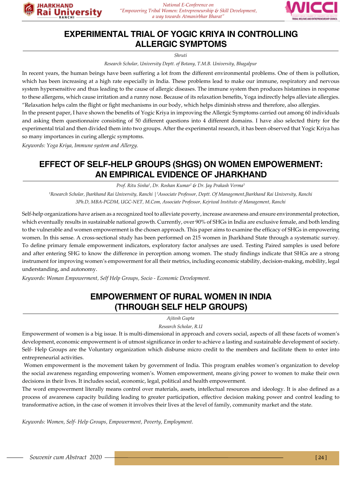



#### **EXPERIMENTAL TRIAL OF YOGIC KRIYA IN CONTROLLING ALLERGIC SYMPTOMS**

*Shruti* 

*Research Scholar, University Deptt. of Botany, T.M.B. University, Bhagalpur*

In recent years, the human beings have been suffering a lot from the different environmental problems. One of them is pollution, which has been increasing at a high rate especially in India. These problems lead to make our immune, respiratory and nervous system hypersensitive and thus leading to the cause of allergic diseases. The immune system then produces histamines in response to these allergens, which cause irritation and a runny nose. Because of its relaxation benefits, Yoga indirectly helps alleviate allergies. "Relaxation helps calm the flight or fight mechanisms in our body, which helps diminish stress and therefore, also allergies.

In the present paper, I have shown the benefits of Yogic Kriya in improving the Allergic Symptoms carried out among 60 individuals and asking them questionnaire consisting of 50 different questions into 4 different domains. I have also selected thirty for the experimental trial and then divided them into two groups. After the experimental research, it has been observed that Yogic Kriya has so many importances in curing allergic symptoms.

*Keywords: Yoga Kriya, Immune system and Allergy.*

#### **EFFECT OF SELF-HELP GROUPS (SHGS) ON WOMEN EMPOWERMENT: AN EMPIRICAL EVIDENCE OF JHARKHAND**

*Prof. Ritu Sinha1 , Dr. Roshan Kumar2 & Dr. Jay Prakash Verma3*

<sup>1</sup>Research Scholar, Jharkhand Rai University, Ranchi | <sup>2</sup>Associate Professor, Deptt. Of Management,Jharkhand Rai University, Ranchi *3Ph.D, MBA-PGDM, UGC-NET, M.Com, Associate Professor, Kejriwal Institute of Management, Ranchi*

Self-help organizations have arisen as a recognized tool to alleviate poverty, increase awareness and ensure environmental protection, which eventually results in sustainable national growth. Currently, over 90% of SHGs in India are exclusive female, and both lending to the vulnerable and women empowerment is the chosen approach. This paper aims to examine the efficacy of SHGs in empowering women. In this sense. A cross-sectional study has been performed on 215 women in Jharkhand State through a systematic survey. To define primary female empowerment indicators, exploratory factor analyses are used. Testing Paired samples is used before and after entering SHG to know the difference in perception among women. The study findings indicate that SHGs are a strong instrument for improving women's empowerment for all their metrics, including economic stability, decision-making, mobility, legal understanding, and autonomy.

*Keywords: Woman Empowerment, Self Help Groups, Socio - Economic Development.*

#### **EMPOWERMENT OF RURAL WOMEN IN INDIA (THROUGH SELF HELP GROUPS)**

*Ajitesh Gupta*

*Research Scholar, R.U*

Empowerment of women is a big issue. It is multi-dimensional in approach and covers social, aspects of all these facets of women's development, economic empowerment is of utmost significance in order to achieve a lasting and sustainable development of society. Self- Help Groups are the Voluntary organization which disburse micro credit to the members and facilitate them to enter into entrepreneurial activities.

 Women empowerment is the movement taken by government of India. This program enables women's organization to develop the social awareness regarding empowering women's. Women empowerment, means giving power to women to make their own decisions in their lives. It includes social, economic, legal, political and health empowerment.

The word empowerment literally means control over materials, assets, intellectual resources and ideology. It is also defined as a process of awareness capacity building leading to greater participation, effective decision making power and control leading to transformative action, in the case of women it involves their lives at the level of family, community market and the state.

*Keywords: Women, Self- Help Groups, Empowerment, Poverty, Employment.*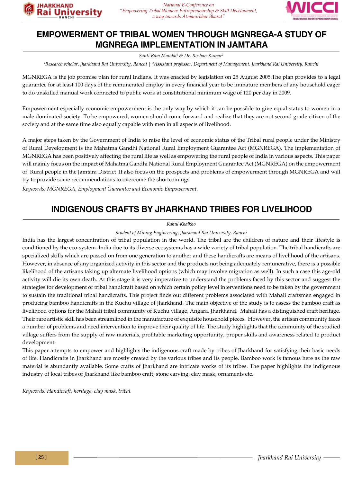

#### **EMPOWERMENT OF TRIBAL WOMEN THROUGH MGNREGA-A STUDY OF MGNREGA IMPLEMENTATION IN JAMTARA**

*Santi Ram Mandal1 & Dr. Roshan Kumar2*

*1 Research scholar, Jharkhand Rai University, Ranchi | 2 Assistant professor, Department of Management, Jharkhand Rai University, Ranchi*

MGNREGA is the job promise plan for rural Indians. It was enacted by legislation on 25 August 2005.The plan provides to a legal guarantee for at least 100 days of the remunerated employ in every financial year to be immature members of any household eager to do unskilled manual work connected to public work at constitutional minimum wage of 120 per day in 2009.

Empowerment especially economic empowerment is the only way by which it can be possible to give equal status to women in a male dominated society. To be empowered, women should come forward and realize that they are not second grade citizen of the society and at the same time also equally capable with men in all aspects of livelihood.

A major steps taken by the Government of India to raise the level of economic status of the Tribal rural people under the Ministry of Rural Development is the Mahatma Gandhi National Rural Employment Guarantee Act (MGNREGA). The implementation of MGNREGA has been positively affecting the rural life as well as empowering the rural people of India in various aspects. This paper will mainly focus on the impact of Mahatma Gandhi National Rural Employment Guarantee Act (MGNREGA) on the empowerment of Rural people in the Jamtara District .It also focus on the prospects and problems of empowerment through MGNREGA and will try to provide some recommendations to overcome the shortcomings.

*Keywords: MGNREGA, Employment Guarantee and Economic Empowerment.*

### **INDIGENOUS CRAFTS BY JHARKHAND TRIBES FOR LIVELIHOOD**

#### *Rahul Khalkho*

*Student of Mining Engineering, Jharkhand Rai University, Ranchi*

India has the largest concentration of tribal population in the world. The tribal are the children of nature and their lifestyle is conditioned by the eco-system. India due to its diverse ecosystems has a wide variety of tribal population. The tribal handicrafts are specialized skills which are passed on from one generation to another and these handicrafts are means of livelihood of the artisans. However, in absence of any organized activity in this sector and the products not being adequately remunerative, there is a possible likelihood of the artisans taking up alternate livelihood options (which may involve migration as well). In such a case this age-old activity will die its own death. At this stage it is very imperative to understand the problems faced by this sector and suggest the strategies for development of tribal handicraft based on which certain policy level interventions need to be taken by the government to sustain the traditional tribal handicrafts. This project finds out different problems associated with Mahali craftsmen engaged in producing bamboo handicrafts in the Kuchu village of Jharkhand. The main objective of the study is to assess the bamboo craft as livelihood options for the Mahali tribal community of Kuchu village, Angara, Jharkhand. Mahali has a distinguished craft heritage. Their rare artistic skill has been streamlined in the manufacture of exquisite household pieces. However, the artisan community faces a number of problems and need intervention to improve their quality of life. The study highlights that the community of the studied village suffers from the supply of raw materials, profitable marketing opportunity, proper skills and awareness related to product development.

This paper attempts to empower and highlights the indigenous craft made by tribes of Jharkhand for satisfying their basic needs of life. Handicrafts in Jharkhand are mostly created by the various tribes and its people. Bamboo work is famous here as the raw material is abundantly available. Some crafts of Jharkhand are intricate works of its tribes. The paper highlights the indigenous industry of local tribes of Jharkhand like bamboo craft, stone carving, clay mask, ornaments etc.

*Keywords: Handicraft, heritage, clay mask, tribal.*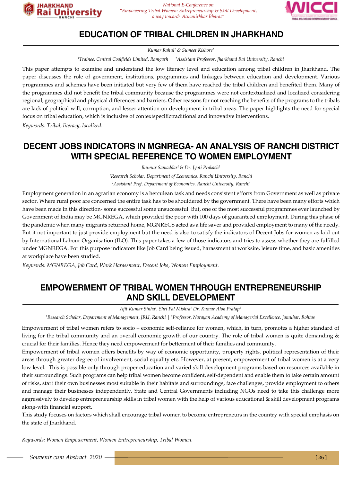



#### **EDUCATION OF TRIBAL CHILDREN IN JHARKHAND**

*Kumar Rahul1 & Sumeet Kishore2*

*1 Trainee, Central Coalfields Limited, Ramgarh | 2Assistant Professor, Jharkhand Rai University, Ranchi*

This paper attempts to examine and understand the low literacy level and education among tribal children in Jharkhand. The paper discusses the role of government, institutions, programmes and linkages between education and development. Various programmes and schemes have been initiated but very few of them have reached the tribal children and benefited them. Many of the programmes did not benefit the tribal community because the programmes were not contextualized and localized considering regional, geographical and physical differences and barriers. Other reasons for not reaching the benefits of the programs to the tribals are lack of political will, corruption, and lesser attention on development in tribal areas. The paper highlights the need for special focus on tribal education, which is inclusive of contextspecifictraditional and innovative interventions.

*Keywords: Tribal, literacy, localized.*

#### **DECENT JOBS INDICATORS IN MGNREGA- AN ANALYSIS OF RANCHI DISTRICT WITH SPECIAL REFERENCE TO WOMEN EMPLOYMENT**

*Jhumur Samaddar1 & Dr. Jyoti Prakash2 1 Research Scholar, Department of Economics, Ranchi University, Ranchi 2 Assistant Prof, Department of Economics, Ranchi University, Ranchi*

Employment generation in an agrarian economy is a herculean task and needs consistent efforts from Government as well as private sector. Where rural poor are concerned the entire task has to be shouldered by the government. There have been many efforts which have been made in this direction- some successful some unsuccessful. But, one of the most successful programmes ever launched by Government of India may be MGNREGA, which provided the poor with 100 days of guaranteed employment. During this phase of the pandemic when many migrants returned home, MGNREGS acted as a life saver and provided employment to many of the needy. But it not important to just provide employment but the need is also to satisfy the indicators of Decent Jobs for women as laid out by International Labour Organisation (ILO). This paper takes a few of those indicators and tries to assess whether they are fulfilled under MGNREGA. For this purpose indicators like Job Card being issued, harassment at worksite, leisure time, and basic amenities at workplace have been studied.

*Keywords: MGNREGA, Job Card, Work Harassment, Decent Jobs, Women Employment.*

#### **EMPOWERMENT OF TRIBAL WOMEN THROUGH ENTREPRENEURSHIP AND SKILL DEVELOPMENT**

*Ajit Kumar Sinha1 , Shri Pal Mishra1 Dr. Kumar Alok Pratap2*

*1 Research Scholar, Department of Management, JRU, Ranchi | 2 Professor, Narayan Academy of Managerial Excellence, Jamuhar, Rohtas*

Empowerment of tribal women refers to socio – economic self-reliance for women, which, in turn, promotes a higher standard of living for the tribal community and an overall economic growth of our country. The role of tribal women is quite demanding & crucial for their families. Hence they need empowerment for betterment of their families and community.

Empowerment of tribal women offers benefits by way of economic opportunity, property rights, political representation of their areas through greater degree of involvement, social equality etc. However, at present, empowerment of tribal women is at a very low level. This is possible only through proper education and varied skill development programs based on resources available in their surroundings. Such programs can help tribal women become confident, self-dependent and enable them to take certain amount of risks, start their own businesses most suitable in their habitats and surroundings, face challenges, provide employment to others and manage their businesses independently. State and Central Governments including NGOs need to take this challenge more aggressively to develop entrepreneurship skills in tribal women with the help of various educational & skill development programs along-with financial support.

This study focuses on factors which shall encourage tribal women to become entrepreneurs in the country with special emphasis on the state of Jharkhand.

*Keywords: Women Empowerment, Women Entrepreneurship, Tribal Women.*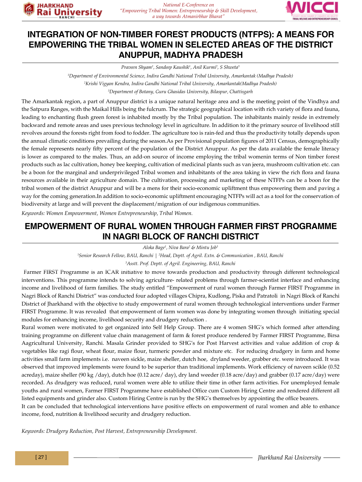



#### **INTEGRATION OF NON-TIMBER FOREST PRODUCTS (NTFPS): A MEANS FOR EMPOWERING THE TRIBAL WOMEN IN SELECTED AREAS OF THE DISTRICT ANUPPUR, MADHYA PRADESH**

*Praveen Shyam1 , Sandeep Kaushik1 , Anil Kurmi2 , S Shweta3*

*1 Department of Environmental Science, Indira Gandhi National Tribal University, Amarkantak (Madhya Pradesh) 2 Krishi Vigyan Kendra, Indira Gandhi National Tribal University, Amarkantak(Madhya Pradesh) 3 Department of Botany, Guru Ghasidas University, Bilaspur, Chattisgarh*

The Amarkantak region, a part of Anuppur district is a unique natural heritage area and is the meeting point of the Vindhya and the Satpura Ranges, with the Maikal Hills being the fulcrum. The strategic geographical location with rich variety of flora and fauna, leading to enchanting flush green forest is inhabited mostly by the Tribal population. The inhabitants mainly reside in extremely backward and remote areas and uses previous technology level in agriculture. In addition to it the primary source of livelihood still revolves around the forests right from food to fodder. The agriculture too is rain-fed and thus the productivity totally depends upon the annual climatic conditions prevailing during the season.As per Provisional population figures of 2011 Census, demographically the female represents nearly fifty percent of the population of the District Anuppur. As per the data available the female literacy is lower as compared to the males. Thus, an add-on source of income employing the tribal womenin terms of Non timber forest products such as lac cultivation, honey bee keeping, cultivation of medicinal plants such as van jeera, mushroom cultivation etc. can be a boon for the marginal and underprivileged Tribal women and inhabitants of the area taking in view the rich flora and fauna resources available in their agriculture domain. The cultivation, processing and marketing of these NTFPs can be a boon for the tribal women of the district Anuppur and will be a mens for their socio-economic upliftment thus empowering them and paving a way for the coming generation.In addition to socio-economic upliftment encouraging NTFPs will act as a tool for the conservation of biodiversity at large and will prevent the displacement/migration of our indigenous communities.

*Keywords: Women Empowerment, Women Entrepreneurship, Tribal Women.*

#### **EMPOWERMENT OF RURAL WOMEN THROUGH FARMER FIRST PROGRAMME IN NAGRI BLOCK OF RANCHI DISTRICT**

*Aloka Bage1 , Niva Bara2 & Mintu Job3*

*1 Senior Research Fellow, BAU, Ranchi | 2 Head, Deptt. of Agril. Extn. & Communication , BAU, Ranchi*

*3 Asstt. Prof. Deptt. of Agril. Engineering, BAU, Ranchi*

 Farmer FIRST Programme is an ICAR initiative to move towards production and productivity through different technological interventions. This programme intends to solving agriculture- related problems through farmer-scientist interface and enhancing income and livelihood of farm families. The study entitled "Empowerment of rural women through Farmer FIRST Programme in Nagri Block of Ranchi District" was conducted four adopted villages Chipra, Kudlong, Piska and Patratoli in Nagri Block of Ranchi District of Jharkhand with the objective to study empowerment of rural women through technological interventions under Farmer FIRST Programme. It was revealed that empowerment of farm women was done by integrating women through initiating special modules for enhancing income, livelihood security and drudgery reduction .

Rural women were motivated to get organized into Self Help Group. There are 4 women SHG's which formed after attending training programme on different value chain management of farm & forest produce rendered by Farmer FIRST Programme, Birsa Aagricultural University, Ranchi. Masala Grinder provided to SHG's for Post Harvest activities and value addition of crop & vegetables like ragi flour, wheat flour, maize flour, turmeric powder and mixture etc. For reducing drudgery in farm and home activities small farm implements i.e. naveen sickle, maize sheller, dutch hoe, dryland weeder, grabber etc. were introduced. It was observed that improved implements were found to be superior than traditional implements. Work efficiency of naveen scikle (0.52 acreday), maize sheller (90 kg /day), dutch hoe (0.12 acre/ day), dry land weeder (0.18 acre/day) and grabber (0.17 acre/day) were recorded. As drudgery was reduced, rural women were able to utilize their time in other farm activities. For unemployed female youths and rural women, Farmer FIRST Programme have established Office cum Custom Hiring Centre and rendered different all listed equipments and grinder also. Custom Hiring Centre is run by the SHG's themselves by appointing the office bearers.

It can be concluded that technological interventions have positive effects on empowerment of rural women and able to enhance income, food, nutrition & livelihood security and drudgery reduction.

*Keywords: Drudgery Reduction, Post Harvest, Entrepreneurship Development.*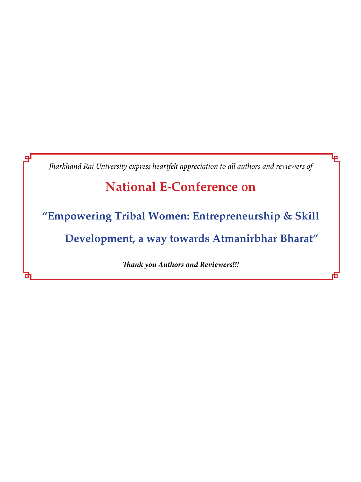*Jharkhand Rai University express heartfelt appreciation to all authors and reviewers of*

I.

# **National E-Conference on**

**"Empowering Tribal Women: Entrepreneurship & Skill** 

**Development, a way towards Atmanirbhar Bharat"**

*Thank you Authors and Reviewers!!!*